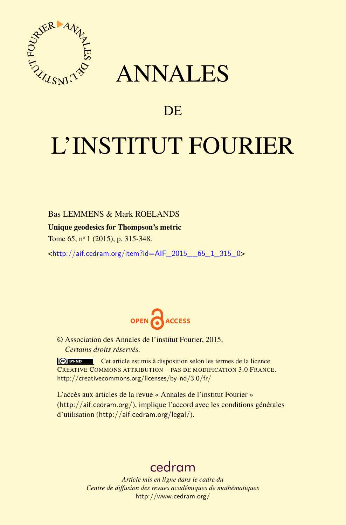

## ANNALES

### **DE**

# L'INSTITUT FOURIER

#### Bas LEMMENS & Mark ROELANDS

#### Unique geodesics for Thompson's metric

Tome 65, nº 1 (2015), p. 315-348.

<[http://aif.cedram.org/item?id=AIF\\_2015\\_\\_65\\_1\\_315\\_0](http://aif.cedram.org/item?id=AIF_2015__65_1_315_0)>



© Association des Annales de l'institut Fourier, 2015, *Certains droits réservés.*

Cet article est mis à disposition selon les termes de la licence CREATIVE COMMONS ATTRIBUTION – PAS DE MODIFICATION 3.0 FRANCE. <http://creativecommons.org/licenses/by-nd/3.0/fr/>

L'accès aux articles de la revue « Annales de l'institut Fourier » (<http://aif.cedram.org/>), implique l'accord avec les conditions générales d'utilisation (<http://aif.cedram.org/legal/>).

## [cedram](http://www.cedram.org/)

*Article mis en ligne dans le cadre du Centre de diffusion des revues académiques de mathématiques* <http://www.cedram.org/>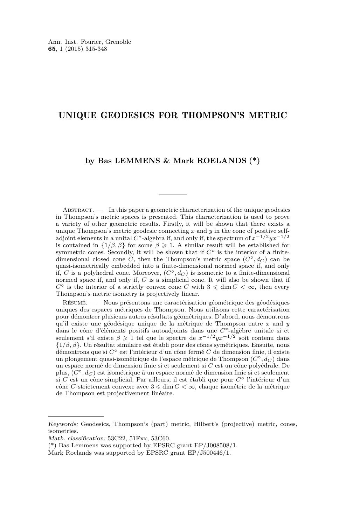#### UNIQUE GEODESICS FOR THOMPSON'S METRIC

#### **by Bas LEMMENS & Mark ROELANDS (\*)**

Abstract. — In this paper a geometric characterization of the unique geodesics in Thompson's metric spaces is presented. This characterization is used to prove a variety of other geometric results. Firstly, it will be shown that there exists a unique Thompson's metric geodesic connecting *x* and *y* in the cone of positive selfadjoint elements in a unital *C*∗-algebra if, and only if, the spectrum of *x*−1*/*2*yx*−1*/*<sup>2</sup> is contained in  $\{1/\beta, \beta\}$  for some  $\beta \geq 1$ . A similar result will be established for symmetric cones. Secondly, it will be shown that if  $C^{\circ}$  is the interior of a finitedimensional closed cone *C*, then the Thompson's metric space  $(C^{\circ}, d_C)$  can be quasi-isometrically embedded into a finite-dimensional normed space if, and only if, *C* is a polyhedral cone. Moreover,  $(C^{\circ}, d_C)$  is isometric to a finite-dimensional normed space if, and only if, *C* is a simplicial cone. It will also be shown that if  $C^{\circ}$  is the interior of a strictly convex cone *C* with  $3 \leq \dim C < \infty$ , then every Thompson's metric isometry is projectively linear.

Résumé. — Nous présentons une caractérisation géométrique des géodésiques uniques des espaces métriques de Thompson. Nous utilisons cette caractérisation pour démontrer plusieurs autres résultats géométriques. D'abord, nous démontrons qu'il existe une géodésique unique de la métrique de Thompson entre *x* and *y* dans le cône d'éléments positifs autoadjoints dans une *C*∗-algèbre unitale si et seulement s'il existe *β* > 1 tel que le spectre de *x*−1*/*2*yx*−1*/*<sup>2</sup> soit contenu dans {1*/β, β*}. Un résultat similaire est établi pour des cônes symétriques. Ensuite, nous démontrons que si *C*◦ est l'intérieur d'un cône fermé *C* de dimension finie, il existe un plongement quasi-isométrique de l'espace métrique de Thompson (*C*◦*, d<sup>C</sup>* ) dans un espace normé de dimension finie si et seulement si *C* est un cône polyédrale. De plus, (*C*◦*, d<sup>C</sup>* ) est isométrique à un espace normé de dimension finie si et seulement si *C* est un cône simplicial. Par ailleurs, il est établi que pour *C*◦ l'intérieur d'un cône *C* strictement convexe avec  $3 \leq \dim C < \infty$ , chaque isométrie de la métrique de Thompson est projectivement linéaire.

Keywords: Geodesics, Thompson's (part) metric, Hilbert's (projective) metric, cones, isometries.

Math. classification: 53C22, 51Fxx, 53C60.

<sup>(\*)</sup> Bas Lemmens was supported by EPSRC grant EP/J008508/1.

Mark Roelands was supported by EPSRC grant EP/J500446/1.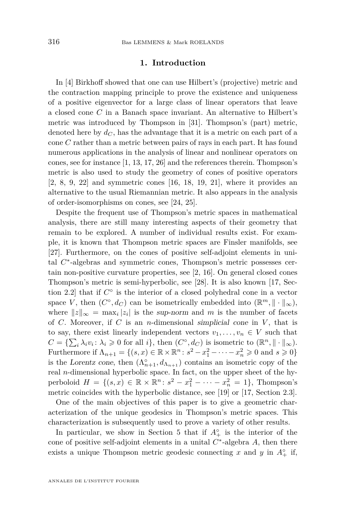#### **1. Introduction**

In [\[4\]](#page-32-0) Birkhoff showed that one can use Hilbert's (projective) metric and the contraction mapping principle to prove the existence and uniqueness of a positive eigenvector for a large class of linear operators that leave a closed cone *C* in a Banach space invariant. An alternative to Hilbert's metric was introduced by Thompson in [\[31\]](#page-34-0). Thompson's (part) metric, denoted here by  $d_C$ , has the advantage that it is a metric on each part of a cone *C* rather than a metric between pairs of rays in each part. It has found numerous applications in the analysis of linear and nonlinear operators on cones, see for instance [\[1,](#page-32-0) [13,](#page-33-0) [17,](#page-33-0) [26\]](#page-33-0) and the references therein. Thompson's metric is also used to study the geometry of cones of positive operators [\[2,](#page-32-0) [8,](#page-33-0) [9,](#page-33-0) [22\]](#page-33-0) and symmetric cones [\[16,](#page-33-0) [18,](#page-33-0) [19,](#page-33-0) [21\]](#page-33-0), where it provides an alternative to the usual Riemannian metric. It also appears in the analysis of order-isomorphisms on cones, see [\[24,](#page-33-0) [25\]](#page-33-0).

Despite the frequent use of Thompson's metric spaces in mathematical analysis, there are still many interesting aspects of their geometry that remain to be explored. A number of individual results exist. For example, it is known that Thompson metric spaces are Finsler manifolds, see [\[27\]](#page-33-0). Furthermore, on the cones of positive self-adjoint elements in unital C<sup>∗</sup>-algebras and symmetric cones, Thompson's metric possesses certain non-positive curvature properties, see [\[2,](#page-32-0) [16\]](#page-33-0). On general closed cones Thompson's metric is semi-hyperbolic, see [\[28\]](#page-33-0). It is also known [\[17,](#page-33-0) Section 2.2] that if  $C^{\circ}$  is the interior of a closed polyhedral cone in a vector space *V*, then  $(C^{\circ}, d_C)$  can be isometrically embedded into  $(\mathbb{R}^m, \|\cdot\|_{\infty})$ , where  $||z||_{\infty} = \max_i |z_i|$  is the sup-norm and m is the number of facets of *C*. Moreover, if *C* is an *n*-dimensional simplicial cone in *V* , that is to say, there exist linearly independent vectors  $v_1, \ldots, v_n \in V$  such that  $C = {\sum_i \lambda_i v_i \colon \lambda_i \geq 0 \text{ for all } i}, \text{ then } (C^{\circ}, d_C) \text{ is isometric to } (\mathbb{R}^n, \|\cdot\|_{\infty}).$ Furthermore if  $\Lambda_{n+1} = \{(s, x) \in \mathbb{R} \times \mathbb{R}^n : s^2 - x_1^2 - \cdots - x_n^2 \geq 0 \text{ and } s \geq 0\}$ is the Lorentz cone, then  $(\Lambda_{n+1}^{\circ}, d_{\Lambda_{n+1}})$  contains an isometric copy of the real *n*-dimensional hyperbolic space. In fact, on the upper sheet of the hyperboloid  $H = \{(s, x) \in \mathbb{R} \times \mathbb{R}^n : s^2 - x_1^2 - \cdots - x_n^2 = 1\}$ , Thompson's metric coincides with the hyperbolic distance, see [\[19\]](#page-33-0) or [\[17,](#page-33-0) Section 2.3].

One of the main objectives of this paper is to give a geometric characterization of the unique geodesics in Thompson's metric spaces. This characterization is subsequently used to prove a variety of other results.

In particular, we show in Section 5 that if  $A_+^{\circ}$  is the interior of the cone of positive self-adjoint elements in a unital  $C^*$ -algebra  $A$ , then there exists a unique Thompson metric geodesic connecting  $x$  and  $y$  in  $A^{\circ}_{+}$  if,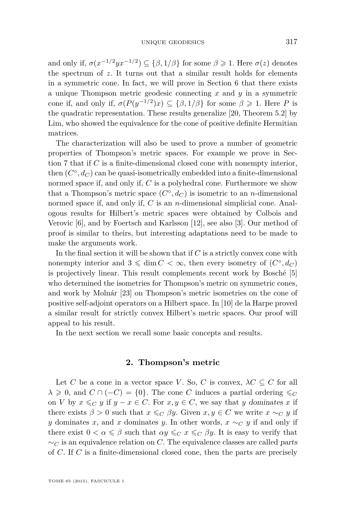and only if,  $\sigma(x^{-1/2}yx^{-1/2}) \subseteq {\beta, 1/\beta}$  for some  $\beta \geq 1$ . Here  $\sigma(z)$  denotes the spectrum of *z*. It turns out that a similar result holds for elements in a symmetric cone. In fact, we will prove in Section 6 that there exists a unique Thompson metric geodesic connecting *x* and *y* in a symmetric cone if, and only if,  $\sigma(P(y^{-1/2})x) \subseteq {\beta, 1/\beta}$  for some  $\beta \geq 1$ . Here *P* is the quadratic representation. These results generalize [\[20,](#page-33-0) Theorem 5.2] by Lim, who showed the equivalence for the cone of positive definite Hermitian matrices.

The characterization will also be used to prove a number of geometric properties of Thompson's metric spaces. For example we prove in Section 7 that if *C* is a finite-dimensional closed cone with nonempty interior, then  $(C^{\circ}, d_C)$  can be quasi-isometrically embedded into a finite-dimensional normed space if, and only if, *C* is a polyhedral cone. Furthermore we show that a Thompson's metric space  $(C^{\circ}, d_C)$  is isometric to an *n*-dimensional normed space if, and only if, *C* is an *n*-dimensional simplicial cone. Analogous results for Hilbert's metric spaces were obtained by Colbois and Verovic [\[6\]](#page-33-0), and by Foertsch and Karlsson [\[12\]](#page-33-0), see also [\[3\]](#page-32-0). Our method of proof is similar to theirs, but interesting adaptations need to be made to make the arguments work.

In the final section it will be shown that if  $C$  is a strictly convex cone with nonempty interior and  $3 \leq \dim C < \infty$ , then every isometry of  $(C^{\circ}, d_C)$ is projectively linear. This result complements recent work by Bosché [\[5\]](#page-33-0) who determined the isometries for Thompson's metric on symmetric cones, and work by Molnár [\[23\]](#page-33-0) on Thompson's metric isometries on the cone of positive self-adjoint operators on a Hilbert space. In [\[10\]](#page-33-0) de la Harpe proved a similar result for strictly convex Hilbert's metric spaces. Our proof will appeal to his result.

In the next section we recall some basic concepts and results.

#### **2. Thompson's metric**

Let *C* be a cone in a vector space *V*. So, *C* is convex,  $\lambda C \subseteq C$  for all  $\lambda \geq 0$ , and  $C \cap (-C) = \{0\}$ . The cone *C* induces a partial ordering  $\leqslant_C$ on *V* by  $x \leq_C y$  if  $y - x \in C$ . For  $x, y \in C$ , we say that *y* dominates *x* if there exists  $\beta > 0$  such that  $x \leq_C \beta y$ . Given  $x, y \in C$  we write  $x \sim_C y$  if *y* dominates *x*, and *x* dominates *y*. In other words,  $x \sim_C y$  if and only if there exist  $0 < \alpha \leq \beta$  such that  $\alpha y \leq_C x \leq_C \beta y$ . It is easy to verify that ∼*<sup>C</sup>* is an equivalence relation on *C*. The equivalence classes are called parts of *C*. If *C* is a finite-dimensional closed cone, then the parts are precisely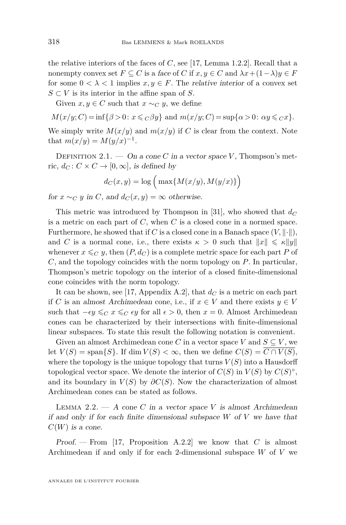the relative interiors of the faces of *C*, see [\[17,](#page-33-0) Lemma 1.2.2]. Recall that a nonempty convex set  $F \subseteq C$  is a face of  $C$  if  $x, y \in C$  and  $\lambda x + (1 - \lambda)y \in F$ for some  $0 < \lambda < 1$  implies  $x, y \in F$ . The relative interior of a convex set  $S \subset V$  is its interior in the affine span of *S*.

Given  $x, y \in C$  such that  $x \sim_C y$ , we define

$$
M(x/y;C) = \inf\{\beta > 0\colon x \leqslant_C \beta y\} \text{ and } m(x/y;C) = \sup\{\alpha > 0\colon \alpha y \leqslant_C x\}.
$$

We simply write  $M(x/y)$  and  $m(x/y)$  if C is clear from the context. Note that  $m(x/y) = M(y/x)^{-1}$ .

DEFINITION 2.1. — On a cone C in a vector space V, Thompson's metric,  $d_C: C \times C \rightarrow [0, \infty]$ , is defined by

$$
d_C(x,y) = \log\Big(\max\{M(x/y), M(y/x)\}\Big)
$$

for  $x \sim_C y$  in *C*, and  $d_C(x, y) = \infty$  otherwise.

This metric was introduced by Thompson in [\[31\]](#page-34-0), who showed that *d<sup>C</sup>* is a metric on each part of *C*, when *C* is a closed cone in a normed space. Furthermore, he showed that if C is a closed cone in a Banach space  $(V, \|\cdot\|)$ , and *C* is a normal cone, i.e., there exists  $\kappa > 0$  such that  $||x|| \le \kappa ||y||$ whenever  $x \leqslant_C y$ , then  $(P, d_C)$  is a complete metric space for each part P of *C*, and the topology coincides with the norm topology on *P*. In particular, Thompson's metric topology on the interior of a closed finite-dimensional cone coincides with the norm topology.

It can be shown, see [\[17,](#page-33-0) Appendix A.2], that  $d_C$  is a metric on each part if *C* is an almost Archimedean cone, i.e., if  $x \in V$  and there exists  $y \in V$ such that  $-e_y \leq_C x \leq_C ey$  for all  $\epsilon > 0$ , then  $x = 0$ . Almost Archimedean cones can be characterized by their intersections with finite-dimensional linear subspaces. To state this result the following notation is convenient.

Given an almost Archimedean cone *C* in a vector space *V* and  $S \subseteq V$ , we let  $V(S) = \text{span}\{S\}$ . If dim  $V(S) < \infty$ , then we define  $C(S) = C \cap V(S)$ , where the topology is the unique topology that turns  $V(S)$  into a Hausdorff topological vector space. We denote the interior of  $C(S)$  in  $V(S)$  by  $C(S)^\circ$ , and its boundary in  $V(S)$  by  $\partial C(S)$ . Now the characterization of almost Archimedean cones can be stated as follows.

LEMMA 2.2.  $- A$  cone *C* in a vector space *V* is almost Archimedean if and only if for each finite dimensional subspace *W* of *V* we have that  $C(W)$  is a cone.

Proof. — From [\[17,](#page-33-0) Proposition A.2.2] we know that *C* is almost Archimedean if and only if for each 2-dimensional subspace *W* of *V* we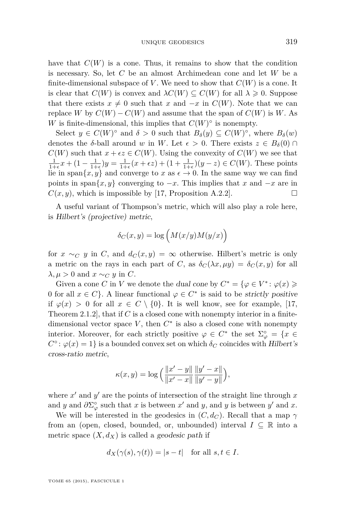have that  $C(W)$  is a cone. Thus, it remains to show that the condition is necessary. So, let *C* be an almost Archimedean cone and let *W* be a finite-dimensional subspace of V. We need to show that  $C(W)$  is a cone. It is clear that  $C(W)$  is convex and  $\lambda C(W) \subseteq C(W)$  for all  $\lambda \geq 0$ . Suppose that there exists  $x \neq 0$  such that *x* and  $-x$  in  $C(W)$ . Note that we can replace *W* by  $C(W) - C(W)$  and assume that the span of  $C(W)$  is W. As *W* is finite-dimensional, this implies that  $C(W)^\circ$  is nonempty.

Select  $y \in C(W)$ <sup>o</sup> and  $\delta > 0$  such that  $B_{\delta}(y) \subseteq C(W)$ <sup>o</sup>, where  $B_{\delta}(w)$ denotes the *δ*-ball around *w* in *W*. Let  $\epsilon > 0$ . There exists  $z \in B_\delta(0) \cap$  $C(W)$  such that  $x + \epsilon z \in C(W)$ . Using the convexity of  $C(W)$  we see that  $\frac{1}{1+\epsilon}x + (1 - \frac{1}{1+\epsilon})y = \frac{1}{1+\epsilon}(x+\epsilon z) + (1 + \frac{1}{1+\epsilon})(y-z) \in C(W)$ . These points lie in span $\{x, y\}$  and converge to *x* as  $\epsilon \to 0$ . In the same way we can find points in span $\{x, y\}$  converging to  $-x$ . This implies that *x* and  $-x$  are in  $C(x, y)$ , which is impossible by [\[17,](#page-33-0) Proposition A.2.2].

A useful variant of Thompson's metric, which will also play a role here, is Hilbert's (projective) metric,

$$
\delta_C(x,y) = \log\Big(M(x/y)M(y/x)\Big)
$$

for  $x \sim_C y$  in *C*, and  $d_C(x, y) = \infty$  otherwise. Hilbert's metric is only a metric on the rays in each part of *C*, as  $\delta_C(\lambda x, \mu y) = \delta_C(x, y)$  for all *λ, μ* > 0 and  $x \sim_C y$  in *C*.

Given a cone *C* in *V* we denote the dual cone by  $C^* = {\varphi \in V^* : \varphi(x) \geqslant \varphi(x)}$ 0 for all  $x \in C$ . A linear functional  $\varphi \in C^*$  is said to be *strictly positive* if  $\varphi(x) > 0$  for all  $x \in C \setminus \{0\}$ . It is well know, see for example, [\[17,](#page-33-0) Theorem 2.1.2], that if *C* is a closed cone with nonempty interior in a finitedimensional vector space  $V$ , then  $C^*$  is also a closed cone with nonempty interior. Moreover, for each strictly positive  $\varphi \in C^*$  the set  $\Sigma_{\varphi}^{\circ} = \{x \in$  $C^{\circ}$ :  $\varphi(x) = 1$  is a bounded convex set on which  $\delta_C$  coincides with Hilbert's cross-ratio metric,

$$
\kappa(x, y) = \log \Big( \frac{\|x' - y\|}{\|x' - x\|} \frac{\|y' - x\|}{\|y' - y\|} \Big),\,
$$

where  $x'$  and  $y'$  are the points of intersection of the straight line through  $x$ and *y* and  $\partial \Sigma^{\circ}_{\varphi}$  such that *x* is between *x'* and *y*, and *y* is between *y'* and *x*.

We will be interested in the geodesics in  $(C, d_C)$ . Recall that a map  $\gamma$ from an (open, closed, bounded, or, unbounded) interval  $I \subseteq \mathbb{R}$  into a metric space  $(X, d_X)$  is called a geodesic path if

$$
d_X(\gamma(s), \gamma(t)) = |s - t| \quad \text{for all } s, t \in I.
$$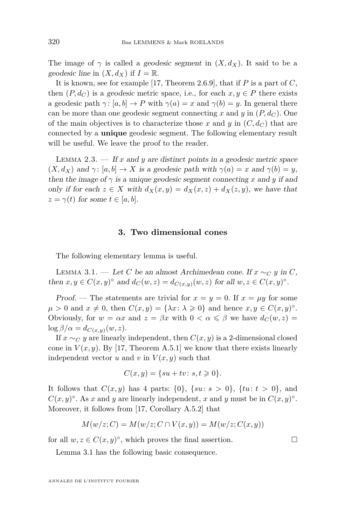<span id="page-6-0"></span>The image of  $\gamma$  is called a *geodesic segment* in  $(X, d_X)$ . It said to be a geodesic line in  $(X, d_X)$  if  $I = \mathbb{R}$ .

It is known, see for example [\[17,](#page-33-0) Theorem 2.6.9], that if *P* is a part of *C*, then  $(P, d_C)$  is a geodesic metric space, i.e., for each  $x, y \in P$  there exists a geodesic path  $\gamma$ :  $[a, b] \to P$  with  $\gamma(a) = x$  and  $\gamma(b) = y$ . In general there can be more than one geodesic segment connecting *x* and *y* in  $(P, d_C)$ . One of the main objectives is to characterize those x and y in  $(C, d_C)$  that are connected by a **unique** geodesic segment. The following elementary result will be useful. We leave the proof to the reader.

LEMMA  $2.3.$  — If *x* and *y* are distinct points in a geodesic metric space  $(X, d_X)$  and  $\gamma: [a, b] \to X$  is a geodesic path with  $\gamma(a) = x$  and  $\gamma(b) = y$ , then the image of  $\gamma$  is a unique geodesic segment connecting x and y if and only if for each  $z \in X$  with  $d_X(x, y) = d_X(x, z) + d_X(z, y)$ , we have that  $z = \gamma(t)$  for some  $t \in [a, b]$ .

#### **3. Two dimensional cones**

The following elementary lemma is useful.

LEMMA 3.1. — Let *C* be an almost Archimedean cone. If  $x \sim_C y$  in *C*, then  $x, y \in C(x, y)$ <sup>o</sup> and  $d_C(w, z) = d_{C(x, y)}(w, z)$  for all  $w, z \in C(x, y)$ <sup>o</sup>.

Proof. — The statements are trivial for  $x = y = 0$ . If  $x = \mu y$  for some  $\mu > 0$  and  $x \neq 0$ , then  $C(x, y) = {\lambda x : \lambda \geq 0}$  and hence  $x, y \in C(x, y)$ <sup>o</sup>. Obviously, for  $w = \alpha x$  and  $z = \beta x$  with  $0 < \alpha \leq \beta$  we have  $d_C(w, z) =$  $\log \frac{\beta}{\alpha} = d_{C(x,y)}(w,z).$ 

If  $x \sim_C y$  are linearly independent, then  $C(x, y)$  is a 2-dimensional closed cone in  $V(x, y)$ . By [\[17,](#page-33-0) Theorem A.5.1] we know that there exists linearly independent vector  $u$  and  $v$  in  $V(x, y)$  such that

$$
C(x,y) = \{su + tv: s, t \geq 0\}.
$$

It follows that  $C(x, y)$  has 4 parts:  $\{0\}$ ,  $\{su: s > 0\}$ ,  $\{tu: t > 0\}$ , and  $C(x, y)$ <sup>o</sup>. As *x* and *y* are linearly independent, *x* and *y* must be in  $C(x, y)$ <sup>o</sup>. Moreover, it follows from [\[17,](#page-33-0) Corollary A.5.2] that

$$
M(w/z;C) = M(w/z;C \cap V(x,y)) = M(w/z;C(x,y))
$$

for all  $w, z \in C(x, y)^\circ$ , which proves the final assertion.

Lemma 3.1 has the following basic consequence.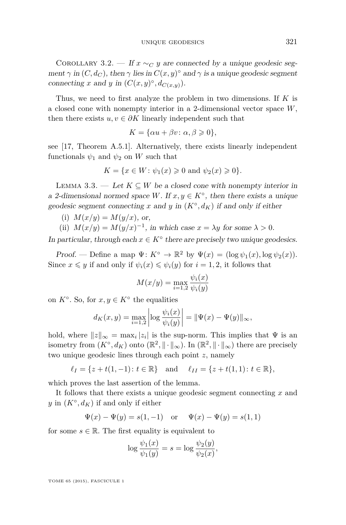<span id="page-7-0"></span>COROLLARY 3.2. — If  $x \sim_C y$  are connected by a unique geodesic segment  $\gamma$  in  $(C, d_C)$ , then  $\gamma$  lies in  $C(x, y)$ <sup>°</sup> and  $\gamma$  is a unique geodesic segment connecting *x* and *y* in  $(C(x, y)^\circ, d_{C(x, y)})$ .

Thus, we need to first analyze the problem in two dimensions. If *K* is a closed cone with nonempty interior in a 2-dimensional vector space *W*, then there exists  $u, v \in \partial K$  linearly independent such that

$$
K = \{\alpha u + \beta v : \alpha, \beta \geq 0\},\
$$

see [\[17,](#page-33-0) Theorem A.5.1]. Alternatively, there exists linearly independent functionals  $\psi_1$  and  $\psi_2$  on W such that

$$
K = \{x \in W \colon \psi_1(x) \geq 0 \text{ and } \psi_2(x) \geq 0\}.
$$

LEMMA 3.3. — Let  $K \subseteq W$  be a closed cone with nonempty interior in a 2-dimensional normed space *W*. If  $x, y \in K^{\circ}$ , then there exists a unique geodesic segment connecting *x* and *y* in  $(K^{\circ}, d_K)$  if and only if either

(i)  $M(x/y) = M(y/x)$ , or,

(ii)  $M(x/y) = M(y/x)^{-1}$ , in which case  $x = \lambda y$  for some  $\lambda > 0$ .

In particular, through each  $x \in K^{\circ}$  there are precisely two unique geodesics.

Proof. — Define a map  $\Psi: K^{\circ} \to \mathbb{R}^2$  by  $\Psi(x) = (\log \psi_1(x), \log \psi_2(x)).$ Since  $x \leq y$  if and only if  $\psi_i(x) \leq \psi_i(y)$  for  $i = 1, 2$ , it follows that

$$
M(x/y) = \max_{i=1,2} \frac{\psi_i(x)}{\psi_i(y)}
$$

on  $K^{\circ}$ . So, for  $x, y \in K^{\circ}$  the equalities

$$
d_K(x, y) = \max_{i=1,2} \left| \log \frac{\psi_i(x)}{\psi_i(y)} \right| = ||\Psi(x) - \Psi(y)||_{\infty},
$$

hold, where  $||z||_{\infty} = \max_i |z_i|$  is the sup-norm. This implies that  $\Psi$  is an isometry from  $(K^{\circ}, d_K)$  onto  $(\mathbb{R}^2, \|\cdot\|_{\infty})$ . In  $(\mathbb{R}^2, \|\cdot\|_{\infty})$  there are precisely two unique geodesic lines through each point *z*, namely

$$
\ell_I = \{z + t(1, -1) : t \in \mathbb{R}\}\
$$
 and  $\ell_{II} = \{z + t(1, 1) : t \in \mathbb{R}\},\$ 

which proves the last assertion of the lemma.

It follows that there exists a unique geodesic segment connecting *x* and  $y$  in  $(K^{\circ}, d_K)$  if and only if either

$$
\Psi(x) - \Psi(y) = s(1, -1)
$$
 or  $\Psi(x) - \Psi(y) = s(1, 1)$ 

for some  $s \in \mathbb{R}$ . The first equality is equivalent to

$$
\log \frac{\psi_1(x)}{\psi_1(y)} = s = \log \frac{\psi_2(y)}{\psi_2(x)},
$$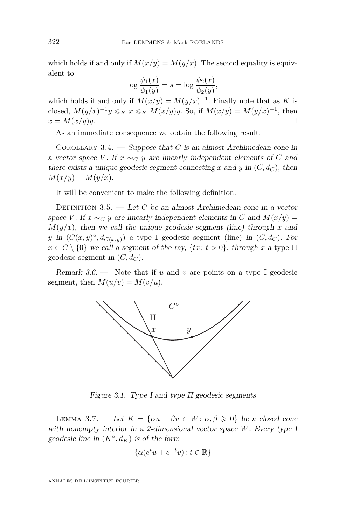<span id="page-8-0"></span>which holds if and only if  $M(x/y) = M(y/x)$ . The second equality is equivalent to

$$
\log \frac{\psi_1(x)}{\psi_1(y)} = s = \log \frac{\psi_2(x)}{\psi_2(y)},
$$

which holds if and only if  $M(x/y) = M(y/x)^{-1}$ . Finally note that as *K* is closed,  $M(y/x)^{-1}y \leqslant_K x \leqslant_K M(x/y)y$ . So, if  $M(x/y) = M(y/x)^{-1}$ , then  $x = M(x/y)y$ .

As an immediate consequence we obtain the following result.

Corollary 3.4. — Suppose that *C* is an almost Archimedean cone in a vector space *V*. If  $x \sim_C y$  are linearly independent elements of *C* and there exists a unique geodesic segment connecting *x* and *y* in  $(C, d_C)$ , then  $M(x/y) = M(y/x)$ .

It will be convenient to make the following definition.

DEFINITION 3.5. — Let C be an almost Archimedean cone in a vector space *V*. If  $x \sim_C y$  are linearly independent elements in *C* and  $M(x/y) =$  $M(y/x)$ , then we call the unique geodesic segment (line) through *x* and *y* in  $(C(x, y)^\circ, d_{C(x, y)})$  a type I geodesic segment (line) in  $(C, d_C)$ . For  $x \in C \setminus \{0\}$  we call a segment of the ray,  $\{tx : t > 0\}$ , through *x* a type II geodesic segment in  $(C, d_C)$ .

Remark 3.6. — Note that if *u* and *v* are points on a type I geodesic segment, then  $M(u/v) = M(v/u)$ .



Figure 3.1. Type I and type II geodesic segments

LEMMA 3.7. — Let  $K = {\alpha u + \beta v \in W : \alpha, \beta \geq 0}$  be a closed cone with nonempty interior in a 2-dimensional vector space *W*. Every type I geodesic line in  $(K^{\circ}, d_K)$  is of the form

$$
\{\alpha(e^t u + e^{-t} v) \colon t \in \mathbb{R}\}
$$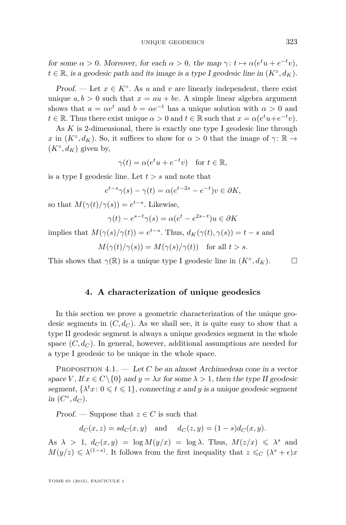for some  $\alpha > 0$ . Moreover, for each  $\alpha > 0$ , the map  $\gamma : t \mapsto \alpha(e^t u + e^{-t} v)$ ,  $t \in \mathbb{R}$ , is a geodesic path and its image is a type I geodesic line in  $(K^{\circ}, d_K)$ .

Proof. — Let  $x \in K^{\circ}$ . As *u* and *v* are linearly independent, there exist unique  $a, b > 0$  such that  $x = au + bv$ . A simple linear algebra argument shows that  $a = \alpha e^t$  and  $b = \alpha e^{-t}$  has a unique solution with  $\alpha > 0$  and  $t \in \mathbb{R}$ . Thus there exist unique  $\alpha > 0$  and  $t \in \mathbb{R}$  such that  $x = \alpha(e^t u + e^{-t} v)$ .

As *K* is 2-dimensional, there is exactly one type I geodesic line through *x* in  $(K^{\circ}, d_K)$ . So, it suffices to show for  $\alpha > 0$  that the image of  $\gamma : \mathbb{R} \to$  $(K^{\circ}, d_K)$  given by,

$$
\gamma(t) = \alpha(e^t u + e^{-t} v) \quad \text{for } t \in \mathbb{R},
$$

is a type I geodesic line. Let *t > s* and note that

$$
e^{t-s}\gamma(s) - \gamma(t) = \alpha(e^{t-2s} - e^{-t})v \in \partial K,
$$

so that  $M(\gamma(t)/\gamma(s)) = e^{t-s}$ . Likewise,

$$
\gamma(t) - e^{s-t}\gamma(s) = \alpha(e^t - e^{2s-t})u \in \partial K
$$

implies that  $M(\gamma(s)/\gamma(t)) = e^{t-s}$ . Thus,  $d_K(\gamma(t), \gamma(s)) = t - s$  and

$$
M(\gamma(t)/\gamma(s)) = M(\gamma(s)/\gamma(t)) \quad \text{for all } t > s.
$$

This shows that  $\gamma(\mathbb{R})$  is a unique type I geodesic line in  $(K^{\circ}, d_K)$ .

#### **4. A characterization of unique geodesics**

In this section we prove a geometric characterization of the unique geodesic segments in  $(C, d_C)$ . As we shall see, it is quite easy to show that a type II geodesic segment is always a unique geodesics segment in the whole space  $(C, d_C)$ . In general, however, additional assumptions are needed for a type I geodesic to be unique in the whole space.

PROPOSITION 4.1. — Let *C* be an almost Archimedean cone in a vector space *V*, If  $x \in C \setminus \{0\}$  and  $y = \lambda x$  for some  $\lambda > 1$ , then the type II geodesic segment,  $\{\lambda^t x : 0 \leq t \leq 1\}$ , connecting *x* and *y* is a unique geodesic segment in  $(C^{\circ}, d_C)$ .

Proof. — Suppose that  $z \in C$  is such that

$$
d_C(x, z) = sd_C(x, y)
$$
 and  $d_C(z, y) = (1 - s)d_C(x, y)$ .

As  $\lambda > 1$ ,  $d_C(x, y) = \log M(y/x) = \log \lambda$ . Thus,  $M(z/x) \le \lambda^s$  and  $M(y/z) \leq \lambda^{(1-s)}$ . It follows from the first inequality that  $z \leq_C (\lambda^s + \epsilon)x$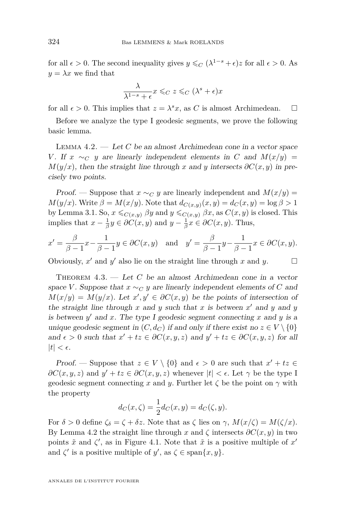<span id="page-10-0"></span>for all  $\epsilon > 0$ . The second inequality gives  $y \leq C (\lambda^{1-s} + \epsilon)z$  for all  $\epsilon > 0$ . As  $y = \lambda x$  we find that

$$
\frac{\lambda}{\lambda^{1-s} + \epsilon} x \leqslant_C z \leqslant_C (\lambda^s + \epsilon)x
$$

for all  $\epsilon > 0$ . This implies that  $z = \lambda^s x$ , as *C* is almost Archimedean.  $\square$ 

Before we analyze the type I geodesic segments, we prove the following basic lemma.

Lemma 4.2. — Let *C* be an almost Archimedean cone in a vector space *V*. If *x* ∼*C y* are linearly independent elements in *C* and  $M(x/y)$  =  $M(y/x)$ , then the straight line through *x* and *y* intersects  $\partial C(x, y)$  in precisely two points.

Proof. — Suppose that  $x \sim_C y$  are linearly independent and  $M(x/y) =$  $M(y/x)$ . Write  $\beta = M(x/y)$ . Note that  $d_{C(x,y)}(x,y) = d_C(x,y) = \log \beta > 1$ by Lemma [3.1.](#page-6-0) So,  $x \leq_{C(x,y)} \beta y$  and  $y \leq_{C(x,y)} \beta x$ , as  $C(x,y)$  is closed. This implies that  $x - \frac{1}{\beta}y \in \partial C(x, y)$  and  $y - \frac{1}{\beta}x \in \partial C(x, y)$ . Thus,

$$
x' = \frac{\beta}{\beta - 1} x - \frac{1}{\beta - 1} y \in \partial C(x, y) \quad \text{and} \quad y' = \frac{\beta}{\beta - 1} y - \frac{1}{\beta - 1} x \in \partial C(x, y).
$$

Obviously,  $x'$  and  $y'$  also lie on the straight line through  $x$  and  $y$ .

THEOREM  $4.3.$  — Let C be an almost Archimedean cone in a vector space *V*. Suppose that  $x \sim_C y$  are linearly independent elements of *C* and  $M(x/y) = M(y/x)$ . Let  $x', y' \in \partial C(x, y)$  be the points of intersection of the straight line through  $x$  and  $y$  such that  $x$  is between  $x'$  and  $y$  and  $y$ is between  $y'$  and  $x$ . The type I geodesic segment connecting  $x$  and  $y$  is a unique geodesic segment in  $(C, d_C)$  if and only if there exist no  $z \in V \setminus \{0\}$ and  $\epsilon > 0$  such that  $x' + tz \in \partial C(x, y, z)$  and  $y' + tz \in \partial C(x, y, z)$  for all  $|t| < \epsilon$ .

Proof. — Suppose that  $z \in V \setminus \{0\}$  and  $\epsilon > 0$  are such that  $x' + tz \in$  $\partial C(x, y, z)$  and  $y' + tz \in \partial C(x, y, z)$  whenever  $|t| < \epsilon$ . Let  $\gamma$  be the type I geodesic segment connecting x and y. Further let  $\zeta$  be the point on  $\gamma$  with the property

$$
d_C(x,\zeta) = \frac{1}{2}d_C(x,y) = d_C(\zeta, y).
$$

For  $\delta > 0$  define  $\zeta_{\delta} = \zeta + \delta z$ . Note that as  $\zeta$  lies on  $\gamma$ ,  $M(x/\zeta) = M(\zeta/x)$ . By Lemma 4.2 the straight line through *x* and  $\zeta$  intersects  $\partial C(x, y)$  in two points  $\tilde{x}$  and  $\zeta'$ , as in Figure [4.1.](#page-11-0) Note that  $\tilde{x}$  is a positive multiple of  $x'$ and  $\zeta'$  is a positive multiple of  $y'$ , as  $\zeta \in \text{span}\{x, y\}.$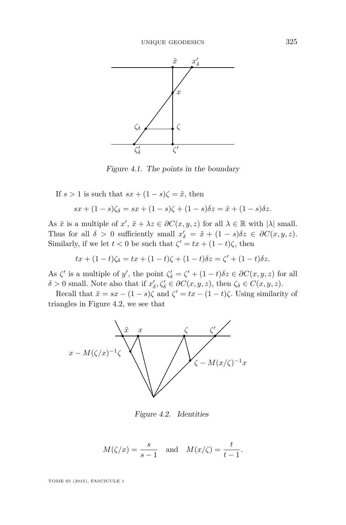<span id="page-11-0"></span>

Figure 4.1. The points in the boundary

If  $s > 1$  is such that  $sx + (1 - s)\zeta = \tilde{x}$ , then

$$
sx + (1 - s)\zeta_{\delta} = sx + (1 - s)\zeta + (1 - s)\delta z = \tilde{x} + (1 - s)\delta z.
$$

As  $\tilde{x}$  is a multiple of  $x'$ ,  $\tilde{x} + \lambda z \in \partial C(x, y, z)$  for all  $\lambda \in \mathbb{R}$  with  $|\lambda|$  small. Thus for all  $\delta > 0$  sufficiently small  $x'_{\delta} = \tilde{x} + (1 - s)\delta z \in \partial C(x, y, z)$ . Similarly, if we let  $t < 0$  be such that  $\zeta' = tx + (1-t)\zeta$ , then

$$
tx + (1-t)\zeta_{\delta} = tx + (1-t)\zeta + (1-t)\delta z = \zeta' + (1-t)\delta z.
$$

As  $\zeta'$  is a multiple of *y'*, the point  $\zeta'_{\delta} = \zeta' + (1 - t)\delta z \in \partial C(x, y, z)$  for all  $\delta > 0$  small. Note also that if  $x'_{\delta}, \zeta'_{\delta} \in \partial C(x, y, z)$ , then  $\zeta_{\delta} \in C(x, y, z)$ .

Recall that  $\tilde{x} = sx - (1 - s)\zeta$  and  $\zeta' = tx - (1 - t)\zeta$ . Using similarity of triangles in Figure 4.2, we see that



Figure 4.2. Identities

$$
M(\zeta/x) = \frac{s}{s-1}
$$
 and  $M(x/\zeta) = \frac{t}{t-1}$ .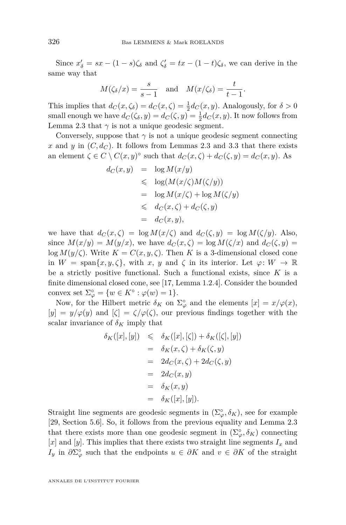Since  $x'_{\delta} = sx - (1 - s)\zeta_{\delta}$  and  $\zeta'_{\delta} = tx - (1 - t)\zeta_{\delta}$ , we can derive in the same way that

$$
M(\zeta_\delta/x) = \frac{s}{s-1}
$$
 and  $M(x/\zeta_\delta) = \frac{t}{t-1}$ .

This implies that  $d_C(x,\zeta_\delta) = d_C(x,\zeta) = \frac{1}{2}d_C(x,y)$ . Analogously, for  $\delta > 0$ small enough we have  $d_C(\zeta_\delta, y) = d_C(\zeta, y) = \frac{1}{2}d_C(x, y)$ . It now follows from Lemma [2.3](#page-6-0) that  $\gamma$  is not a unique geodesic segment.

Conversely, suppose that  $\gamma$  is not a unique geodesic segment connecting x and y in  $(C, d_C)$ . It follows from Lemmas [2.3](#page-6-0) and [3.3](#page-7-0) that there exists an element  $\zeta \in C \setminus C(x, y)$ <sup>°</sup> such that  $d_C(x, \zeta) + d_C(\zeta, y) = d_C(x, y)$ . As

$$
d_C(x, y) = \log M(x/y)
$$
  
\n
$$
\leq \log(M(x/\zeta)M(\zeta/y))
$$
  
\n
$$
= \log M(x/\zeta) + \log M(\zeta/y)
$$
  
\n
$$
\leq d_C(x, \zeta) + d_C(\zeta, y)
$$
  
\n
$$
= d_C(x, y),
$$

we have that  $d_C(x,\zeta) = \log M(x/\zeta)$  and  $d_C(\zeta,y) = \log M(\zeta/y)$ . Also, since  $M(x/y) = M(y/x)$ , we have  $d_C(x,\zeta) = \log M(\zeta/x)$  and  $d_C(\zeta,y) =$ log  $M(y/\zeta)$ . Write  $K = C(x, y, \zeta)$ . Then *K* is a 3-dimensional closed cone in  $W = \text{span}\{x, y, \zeta\}$ , with  $x, y$  and  $\zeta$  in its interior. Let  $\varphi: W \to \mathbb{R}$ be a strictly positive functional. Such a functional exists, since *K* is a finite dimensional closed cone, see [\[17,](#page-33-0) Lemma 1.2.4]. Consider the bounded convex set  $\Sigma^{\circ}_{\varphi} = \{ w \in K^{\circ} : \varphi(w) = 1 \}.$ 

Now, for the Hilbert metric  $\delta_K$  on  $\Sigma^{\circ}_{\varphi}$  and the elements  $[x] = x/\varphi(x)$ ,  $[y] = y/\varphi(y)$  and  $[\zeta] = \zeta/\varphi(\zeta)$ , our previous findings together with the scalar invariance of  $\delta_K$  imply that

$$
\delta_K([x],[y]) \leq \delta_K([x],[\zeta]) + \delta_K([\zeta],[y])
$$
  
= 
$$
\delta_K(x,\zeta) + \delta_K(\zeta,y)
$$
  
= 
$$
2d_C(x,\zeta) + 2d_C(\zeta,y)
$$
  
= 
$$
2d_C(x,y)
$$
  
= 
$$
\delta_K(x,y)
$$
  
= 
$$
\delta_K([x],[y]).
$$

Straight line segments are geodesic segments in  $(\Sigma_{\varphi}^{\circ}, \delta_K)$ , see for example [\[29,](#page-34-0) Section 5.6]. So, it follows from the previous equality and Lemma [2.3](#page-6-0) that there exists more than one geodesic segment in  $(\Sigma_{\varphi}^{\circ}, \delta_K)$  connecting [*x*] and [*y*]. This implies that there exists two straight line segments *I<sup>x</sup>* and *I*<sup>*y*</sup> in  $\partial\Sigma^{\circ}_{\varphi}$  such that the endpoints  $u \in \partial K$  and  $v \in \partial K$  of the straight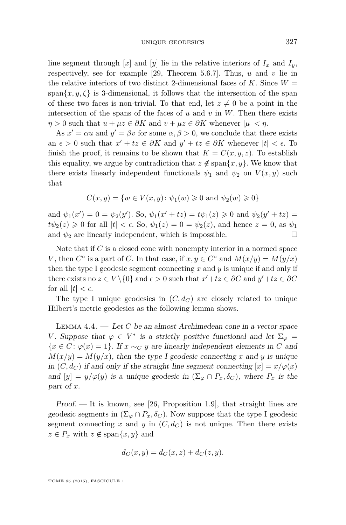UNIQUE GEODESICS 327

<span id="page-13-0"></span>line segment through  $[x]$  and  $[y]$  lie in the relative interiors of  $I_x$  and  $I_y$ , respectively, see for example [\[29,](#page-34-0) Theorem 5.6.7]. Thus, *u* and *v* lie in the relative interiors of two distinct 2-dimensional faces of  $K$ . Since  $W =$ span $\{x, y, \zeta\}$  is 3-dimensional, it follows that the intersection of the span of these two faces is non-trivial. To that end, let  $z \neq 0$  be a point in the intersection of the spans of the faces of  $u$  and  $v$  in  $W$ . Then there exists  $\eta > 0$  such that  $u + \mu z \in \partial K$  and  $v + \mu z \in \partial K$  whenever  $|\mu| < \eta$ .

As  $x' = \alpha u$  and  $y' = \beta v$  for some  $\alpha, \beta > 0$ , we conclude that there exists an  $\epsilon > 0$  such that  $x' + tz \in \partial K$  and  $y' + tz \in \partial K$  whenever  $|t| < \epsilon$ . To finish the proof, it remains to be shown that  $K = C(x, y, z)$ . To establish this equality, we argue by contradiction that  $z \notin \text{span}\{x, y\}$ . We know that there exists linearly independent functionals  $\psi_1$  and  $\psi_2$  on  $V(x, y)$  such that

$$
C(x, y) = \{ w \in V(x, y) \colon \psi_1(w) \geq 0 \text{ and } \psi_2(w) \geq 0 \}
$$

and  $\psi_1(x') = 0 = \psi_2(y')$ . So,  $\psi_1(x' + tz) = t\psi_1(z) \ge 0$  and  $\psi_2(y' + tz) =$  $t\psi_2(z) \geq 0$  for all  $|t| < \epsilon$ . So,  $\psi_1(z) = 0 = \psi_2(z)$ , and hence  $z = 0$ , as  $\psi_1$ and  $\psi_2$  are linearly independent, which is impossible.

Note that if *C* is a closed cone with nonempty interior in a normed space *V*, then  $C^{\circ}$  is a part of *C*. In that case, if  $x, y \in C^{\circ}$  and  $M(x/y) = M(y/x)$ then the type I geodesic segment connecting *x* and *y* is unique if and only if there exists no  $z \in V \setminus \{0\}$  and  $\epsilon > 0$  such that  $x' + tz \in \partial C$  and  $y' + tz \in \partial C$ for all  $|t| < \epsilon$ .

The type I unique geodesics in  $(C, d_C)$  are closely related to unique Hilbert's metric geodesics as the following lemma shows.

Lemma 4.4. — Let *C* be an almost Archimedean cone in a vector space *V*. Suppose that  $\varphi \in V^*$  is a strictly positive functional and let  $\Sigma_{\varphi} =$  ${x \in C : \varphi(x) = 1}.$  If  $x \sim_C y$  are linearly independent elements in *C* and  $M(x/y) = M(y/x)$ , then the type I geodesic connecting x and y is unique in  $(C, d_C)$  if and only if the straight line segment connecting  $[x] = x/\varphi(x)$ and  $[y] = y/\varphi(y)$  is a unique geodesic in  $(\Sigma_{\varphi} \cap P_x, \delta_C)$ , where  $P_x$  is the part of *x*.

 $Proof.$  — It is known, see [\[26,](#page-33-0) Proposition 1.9], that straight lines are geodesic segments in  $(\Sigma_{\varphi} \cap P_x, \delta_C)$ . Now suppose that the type I geodesic segment connecting x and y in  $(C, d_C)$  is not unique. Then there exists  $z \in P_x$  with  $z \notin \text{span}\{x, y\}$  and

$$
d_C(x, y) = d_C(x, z) + d_C(z, y).
$$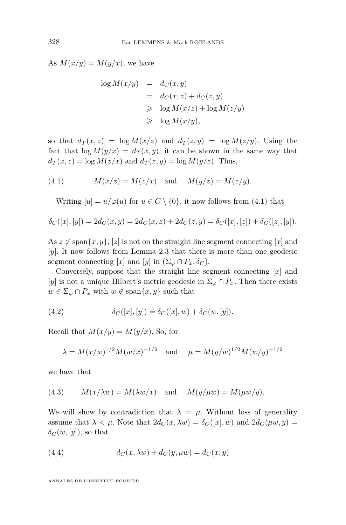<span id="page-14-0"></span>As  $M(x/y) = M(y/x)$ , we have

$$
\log M(x/y) = d_C(x, y)
$$
  
=  $d_C(x, z) + d_C(z, y)$   

$$
\geq \log M(x/z) + \log M(z/y)
$$
  

$$
\geq \log M(x/y),
$$

so that  $d_T(x, z) = \log M(x/z)$  and  $d_T(z, y) = \log M(z/y)$ . Using the fact that  $\log M(y/x) = d_T(x, y)$ , it can be shown in the same way that  $d_T(x, z) = \log M(z/x)$  and  $d_T(z, y) = \log M(y/z)$ . Thus,

(4.1) 
$$
M(x/z) = M(z/x)
$$
 and  $M(y/z) = M(z/y)$ .

Writing  $[u] = u/\varphi(u)$  for  $u \in C \setminus \{0\}$ , it now follows from (4.1) that

$$
\delta_C([x],[y]) = 2d_C(x,y) = 2d_C(x,z) + 2d_C(z,y) = \delta_C([x],[z]) + \delta_C([z],[y]).
$$

As  $z \notin \text{span}\{x, y\}, |z|$  is not on the straight line segment connecting [*x*] and [*y*]. It now follows from Lemma [2.3](#page-6-0) that there is more than one geodesic segment connecting [*x*] and [*y*] in  $(\Sigma_{\varphi} \cap P_x, \delta_C)$ .

Conversely, suppose that the straight line segment connecting [*x*] and [*y*] is not a unique Hilbert's metric geodesic in  $\Sigma_{\varphi} \cap P_x$ . Then there exists  $w \in \Sigma_{\varphi} \cap P_x$  with  $w \notin \text{span}\{x, y\}$  such that

(4.2) 
$$
\delta_C([x],[y]) = \delta_C([x],w) + \delta_C(w,[y]).
$$

Recall that  $M(x/y) = M(y/x)$ . So, for

$$
\lambda = M(x/w)^{1/2} M(w/x)^{-1/2}
$$
 and  $\mu = M(y/w)^{1/2} M(w/y)^{-1/2}$ 

we have that

(4.3) 
$$
M(x/\lambda w) = M(\lambda w/x)
$$
 and  $M(y/\mu w) = M(\mu w/y)$ .

We will show by contradiction that  $\lambda = \mu$ . Without loss of generality assume that  $\lambda < \mu$ . Note that  $2d_C(x, \lambda w) = \delta_C([x], w)$  and  $2d_C(\mu w, y) =$  $\delta_C(w, [y])$ , so that

(4.4) 
$$
d_C(x, \lambda w) + d_C(y, \mu w) = d_C(x, y)
$$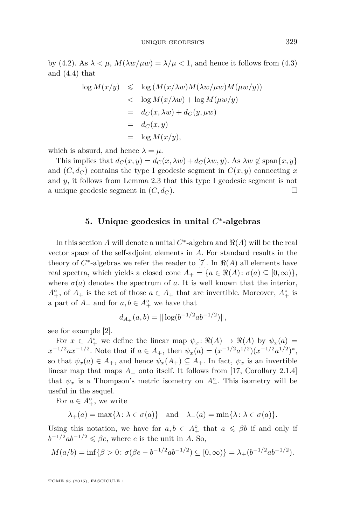by [\(4.2\)](#page-14-0). As  $\lambda < \mu$ ,  $M(\lambda w/\mu w) = \lambda/\mu < 1$ , and hence it follows from [\(4.3\)](#page-14-0) and [\(4.4\)](#page-14-0) that

$$
\log M(x/y) \leq \log (M(x/\lambda w)M(\lambda w/\mu w)M(\mu w/y))
$$
  

$$
< \log M(x/\lambda w) + \log M(\mu w/y)
$$
  

$$
= d_C(x, \lambda w) + d_C(y, \mu w)
$$
  

$$
= d_C(x, y)
$$
  

$$
= \log M(x/y),
$$

which is absurd, and hence  $\lambda = \mu$ .

This implies that  $d_C(x, y) = d_C(x, \lambda w) + d_C(\lambda w, y)$ . As  $\lambda w \notin \text{span}\{x, y\}$ and  $(C, d_C)$  contains the type I geodesic segment in  $C(x, y)$  connecting x and *y*, it follows from Lemma [2.3](#page-6-0) that this type I geodesic segment is not a unique geodesic segment in  $(C, d_C)$ .

#### **5. Unique geodesics in unital** *C* ∗ **-algebras**

In this section *A* will denote a unital  $C^*$ -algebra and  $\Re(A)$  will be the real vector space of the self-adjoint elements in *A*. For standard results in the theory of  $C^*$ -algebras we refer the reader to [\[7\]](#page-33-0). In  $\Re(A)$  all elements have real spectra, which yields a closed cone  $A_+ = \{a \in \Re(A) : \sigma(a) \subseteq [0, \infty)\},\$ where  $\sigma(a)$  denotes the spectrum of *a*. It is well known that the interior,  $A_+^{\circ}$ , of  $A_+$  is the set of those  $a \in A_+$  that are invertible. Moreover,  $A_+^{\circ}$  is a part of  $A_+$  and for  $a, b \in A_+^{\circ}$  we have that

$$
d_{A_+}(a,b) = ||\log(b^{-1/2}ab^{-1/2})||,
$$

see for example [\[2\]](#page-32-0).

For  $x \in A_+^{\circ}$  we define the linear map  $\psi_x : \Re(A) \to \Re(A)$  by  $\psi_x(a) =$  $x^{-1/2}ax^{-1/2}$ . Note that if  $a \in A_+$ , then  $\psi_x(a) = (x^{-1/2}a^{1/2})(x^{-1/2}a^{1/2})^*$ , so that  $\psi_x(a) \in A_+$ , and hence  $\psi_x(A_+) \subseteq A_+$ . In fact,  $\psi_x$  is an invertible linear map that maps  $A_+$  onto itself. It follows from [\[17,](#page-33-0) Corollary 2.1.4] that  $\psi_x$  is a Thompson's metric isometry on  $A^{\circ}_+$ . This isometry will be useful in the sequel.

For  $a \in A_+^{\circ}$ , we write

$$
\lambda_{+}(a) = \max\{\lambda : \lambda \in \sigma(a)\}\
$$
 and  $\lambda_{-}(a) = \min\{\lambda : \lambda \in \sigma(a)\}.$ 

Using this notation, we have for  $a, b \in A_+^{\circ}$  that  $a \le \beta b$  if and only if  $b^{-1/2}ab^{-1/2} \leq \beta e$ , where *e* is the unit in *A*. So,

$$
M(a/b) = \inf \{ \beta > 0 \colon \sigma(\beta e - b^{-1/2}ab^{-1/2}) \subseteq [0, \infty) \} = \lambda_+(b^{-1/2}ab^{-1/2}).
$$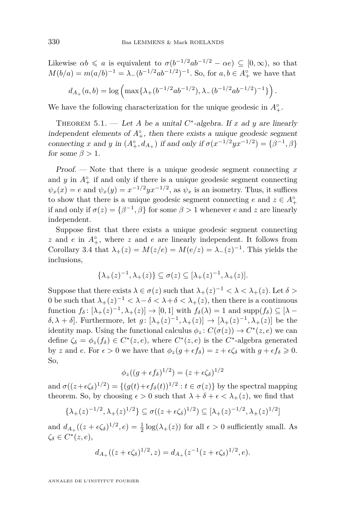<span id="page-16-0"></span>Likewise  $\alpha b \leq a$  is equivalent to  $\sigma(b^{-1/2}ab^{-1/2}-\alpha e) \subseteq [0,\infty)$ , so that  $M(b/a) = m(a/b)^{-1} = \lambda_-(b^{-1/2}ab^{-1/2})^{-1}$ . So, for  $a, b \in A^{\circ}_+$  we have that  $d_{A_+}(a,b) = \log \left( \max\{\lambda_+(b^{-1/2}ab^{-1/2}), \lambda_-(b^{-1/2}ab^{-1/2})^{-1}\} \right).$ 

We have the following characterization for the unique geodesic in  $A_+^{\circ}$ .

THEOREM 5.1. — Let *A* be a unital  $C^*$ -algebra. If *x* ad *y* are linearly independent elements of  $A^{\circ}_{+}$ , then there exists a unique geodesic segment connecting *x* and *y* in  $(A_+^{\circ}, d_{A_+})$  if and only if  $\sigma(x^{-1/2}yx^{-1/2}) = {\beta^{-1}, \beta}$ for some  $\beta > 1$ .

Proof. — Note that there is a unique geodesic segment connecting *x* and  $y$  in  $A_+^{\circ}$  if and only if there is a unique geodesic segment connecting  $\psi_x(x) = e$  and  $\psi_x(y) = x^{-1/2} y x^{-1/2}$ , as  $\psi_x$  is an isometry. Thus, it suffices to show that there is a unique geodesic segment connecting  $e$  and  $z \in A^{\circ}_{+}$ if and only if  $\sigma(z) = {\beta^{-1}, \beta}$  for some  $\beta > 1$  whenever *e* and *z* are linearly independent.

Suppose first that there exists a unique geodesic segment connecting  $z$  and  $e$  in  $A^{\circ}_{+}$ , where  $z$  and  $e$  are linearly independent. It follows from Corollary [3.4](#page-8-0) that  $\lambda_+(z) = M(z/e) = M(e/z) = \lambda_-(z)^{-1}$ . This yields the inclusions,

$$
\{\lambda_+(z)^{-1},\lambda_+(z)\}\subseteq \sigma(z)\subseteq [\lambda_+(z)^{-1},\lambda_+(z)].
$$

Suppose that there exists  $\lambda \in \sigma(z)$  such that  $\lambda_+(z)^{-1} < \lambda < \lambda_+(z)$ . Let  $\delta >$ 0 be such that  $\lambda_+(z)^{-1} < \lambda - \delta < \lambda + \delta < \lambda_+(z)$ , then there is a continuous function  $f_{\delta}$ :  $[\lambda_{+}(z)^{-1}, \lambda_{+}(z)] \rightarrow [0, 1]$  with  $f_{\delta}(\lambda) = 1$  and supp $(f_{\delta}) \subseteq [\lambda$ *δ*, *λ* + *δ*. Furthermore, let *g* : [ $λ$ <sub>+</sub>(*z*)<sup>-1</sup>,  $λ$ <sub>+</sub>(*z*)] → [ $λ$ <sub>+</sub>(*z*)<sup>-1</sup>,  $λ$ <sub>+</sub>(*z*)] be the identity map. Using the functional calculus  $\phi_z : C(\sigma(z)) \to C^*(z, e)$  we can define  $\zeta_{\delta} = \phi_z(f_{\delta}) \in C^*(z, e)$ , where  $C^*(z, e)$  is the  $C^*$ -algebra generated by *z* and *e*. For  $\epsilon > 0$  we have that  $\phi_z(g + \epsilon f_\delta) = z + \epsilon \zeta_\delta$  with  $g + \epsilon f_\delta \geq 0$ . So,

$$
\phi_z((g+\epsilon f_\delta)^{1/2})=(z+\epsilon \zeta_\delta)^{1/2}
$$

and  $\sigma((z+\epsilon\zeta_{\delta})^{1/2}) = \{(g(t)+\epsilon f_{\delta}(t))^{1/2} : t \in \sigma(z)\}\$  by the spectral mapping theorem. So, by choosing  $\epsilon > 0$  such that  $\lambda + \delta + \epsilon < \lambda_+(z)$ , we find that

$$
\{\lambda_+(z)^{-1/2}, \lambda_+(z)^{1/2}\} \subseteq \sigma((z+\epsilon \zeta_\delta)^{1/2}) \subseteq [\lambda_+(z)^{-1/2}, \lambda_+(z)^{1/2}]
$$

and  $d_{A_+}((z+\epsilon\zeta_\delta)^{1/2}, e) = \frac{1}{2}\log(\lambda_+(z))$  for all  $\epsilon > 0$  sufficiently small. As *ζ<sup>δ</sup>* ∈ *C* ∗ (*z, e*),

$$
d_{A_+}((z+\epsilon\zeta_\delta)^{1/2},z) = d_{A_+}(z^{-1}(z+\epsilon\zeta_\delta)^{1/2},e).
$$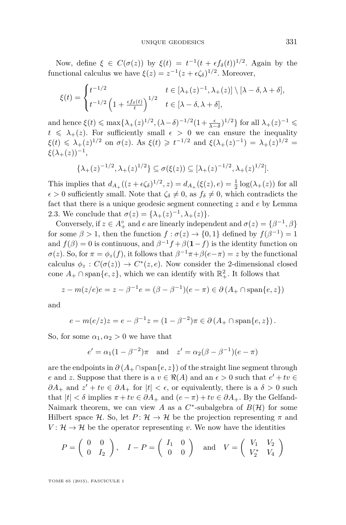Now, define  $\xi \in C(\sigma(z))$  by  $\xi(t) = t^{-1}(t + \epsilon f_\delta(t))^{1/2}$ . Again by the functional calculus we have  $\xi(z) = z^{-1}(z + \epsilon \zeta_{\delta})^{1/2}$ . Moreover,

$$
\xi(t) = \begin{cases} t^{-1/2} & t \in [\lambda_+(z)^{-1}, \lambda_+(z)] \setminus [\lambda - \delta, \lambda + \delta], \\ t^{-1/2} \left( 1 + \frac{\epsilon f_\delta(t)}{t} \right)^{1/2} & t \in [\lambda - \delta, \lambda + \delta], \end{cases}
$$

and hence  $\xi(t) \le \max\{\lambda_+(z)^{1/2}, (\lambda - \delta)^{-1/2}(1 + \frac{\epsilon}{\lambda - \delta})^{1/2}\}\)$  for all  $\lambda_+(z)^{-1} \le$  $t \leq \lambda_+(z)$ . For sufficiently small  $\epsilon > 0$  we can ensure the inequality *ξ*(*t*) ≤ *λ*<sub>+</sub>(*z*)<sup>1/2</sup> on *σ*(*z*). As *ξ*(*t*) ≥ *t*<sup>-1/2</sup> and *ξ*(*λ*<sub>+</sub>(*z*)<sup>-1</sup>) = *λ*<sub>+</sub>(*z*)<sup>1/2</sup> =  $\xi(\lambda_+(z))^{-1}$ ,

$$
\{\lambda_+(z)^{-1/2}, \lambda_+(z)^{1/2}\} \subseteq \sigma(\xi(z)) \subseteq [\lambda_+(z)^{-1/2}, \lambda_+(z)^{1/2}].
$$

This implies that  $d_{A_+}((z + \epsilon \zeta_\delta)^{1/2}, z) = d_{A_+}(\xi(z), e) = \frac{1}{2} \log(\lambda_+(z))$  for all  $\epsilon > 0$  sufficiently small. Note that  $\zeta_{\delta} \neq 0$ , as  $f_{\delta} \neq 0$ , which contradicts the fact that there is a unique geodesic segment connecting *z* and *e* by Lemma [2.3.](#page-6-0) We conclude that  $\sigma(z) = {\lambda_+(z)^{-1}, \lambda_+(z)}$ .

Conversely, if  $z \in A_+^{\circ}$  and *e* are linearly independent and  $\sigma(z) = {\beta^{-1}, \beta}$ for some  $\beta > 1$ , then the function  $f : \sigma(z) \to \{0, 1\}$  defined by  $f(\beta^{-1}) = 1$ and  $f(\beta) = 0$  is continuous, and  $\beta^{-1}f + \beta(1 - f)$  is the identity function on *σ*(*z*). So, for  $π = φ_z(f)$ , it follows that  $β^{-1}π+β(e−π) = z$  by the functional calculus  $\phi_z : C(\sigma(z)) \to C^*(z, e)$ . Now consider the 2-dimensional closed cone  $A_+ \cap \text{span}\{e, z\}$ , which we can identify with  $\mathbb{R}^2_+$ . It follows that

$$
z - m(z/e)e = z - \beta^{-1}e = (\beta - \beta^{-1})(e - \pi) \in \partial (A_+ \cap \text{span}\{e, z\})
$$

and

$$
e - m(e/z)z = e - \beta^{-1}z = (1 - \beta^{-2})\pi \in \partial (A_+ \cap \text{span}\{e, z\}).
$$

So, for some  $\alpha_1, \alpha_2 > 0$  we have that

$$
e' = \alpha_1 (1 - \beta^{-2}) \pi
$$
 and  $z' = \alpha_2 (\beta - \beta^{-1}) (e - \pi)$ 

are the endpoints in *∂* (*A*<sup>+</sup> ∩span{*e, z*}) of the straight line segment through *e* and *z*. Suppose that there is a  $v \in \Re(A)$  and an  $\epsilon > 0$  such that  $e' + tv \in \Re(A)$  $\partial A_+$  and  $z' + tv \in \partial A_+$  for  $|t| < \epsilon$ , or equivalently, there is a  $\delta > 0$  such that  $|t| < \delta$  implies  $\pi + tv \in \partial A_+$  and  $(e - \pi) + tv \in \partial A_+$ . By the Gelfand-Naimark theorem, we can view *A* as a  $C^*$ -subalgebra of  $B(\mathcal{H})$  for some Hilbert space H. So, let  $P: \mathcal{H} \to \mathcal{H}$  be the projection representing  $\pi$  and *V* :  $\mathcal{H} \rightarrow \mathcal{H}$  be the operator representing *v*. We now have the identities

$$
P = \left(\begin{array}{cc} 0 & 0 \\ 0 & I_2 \end{array}\right), \quad I - P = \left(\begin{array}{cc} I_1 & 0 \\ 0 & 0 \end{array}\right) \quad \text{and} \quad V = \left(\begin{array}{cc} V_1 & V_2 \\ V_2^* & V_4 \end{array}\right)
$$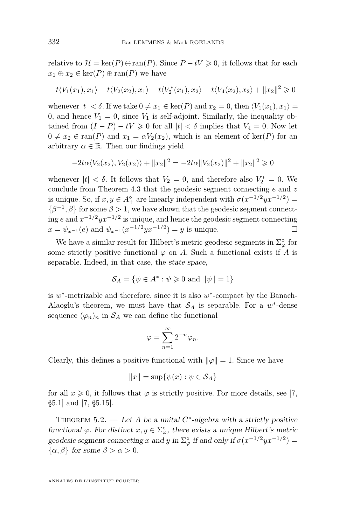<span id="page-18-0"></span>relative to  $\mathcal{H} = \ker(P) \oplus \text{ran}(P)$ . Since  $P - tV \geq 0$ , it follows that for each  $x_1 \oplus x_2 \in \text{ker}(P) \oplus \text{ran}(P)$  we have

$$
-t\langle V_1(x_1), x_1 \rangle - t\langle V_2(x_2), x_1 \rangle - t\langle V_2^*(x_1), x_2 \rangle - t\langle V_4(x_2), x_2 \rangle + ||x_2||^2 \ge 0
$$

whenever  $|t| < \delta$ . If we take  $0 \neq x_1 \in \text{ker}(P)$  and  $x_2 = 0$ , then  $\langle V_1(x_1), x_1 \rangle =$ 0, and hence  $V_1 = 0$ , since  $V_1$  is self-adjoint. Similarly, the inequality obtained from  $(I - P) - tV \geq 0$  for all  $|t| < \delta$  implies that  $V_4 = 0$ . Now let  $0 \neq x_2 \in \text{ran}(P)$  and  $x_1 = \alpha V_2(x_2)$ , which is an element of ker(*P*) for an arbitrary  $\alpha \in \mathbb{R}$ . Then our findings yield

$$
-2t\alpha \langle V_2(x_2), V_2(x_2) \rangle + ||x_2||^2 = -2t\alpha ||V_2(x_2)||^2 + ||x_2||^2 \ge 0
$$

whenever  $|t| < \delta$ . It follows that  $V_2 = 0$ , and therefore also  $V_2^* = 0$ . We conclude from Theorem [4.3](#page-10-0) that the geodesic segment connecting *e* and *z* is unique. So, if  $x, y \in A_+^{\circ}$  are linearly independent with  $\sigma(x^{-1/2}yx^{-1/2}) =$  $\{\beta^{-1}, \beta\}$  for some  $\beta > 1$ , we have shown that the geodesic segment connecting *e* and *x* <sup>−</sup>1*/*2*yx*<sup>−</sup>1*/*<sup>2</sup> is unique, and hence the geodesic segment connecting  $x = \psi_{x-1}(e)$  and  $\psi_{x-1}(x^{-1/2}yx^{-1/2}) = y$  is unique.

We have a similar result for Hilbert's metric geodesic segments in  $\Sigma^{\circ}_{\varphi}$  for some strictly positive functional  $\varphi$  on *A*. Such a functional exists if *A* is separable. Indeed, in that case, the state space,

$$
\mathcal{S}_A = \{ \psi \in A^* : \psi \geq 0 \text{ and } ||\psi|| = 1 \}
$$

is w<sup>\*</sup>-metrizable and therefore, since it is also w<sup>\*</sup>-compact by the Banach-Alaoglu's theorem, we must have that  $S_A$  is separable. For a  $w^*$ -dense sequence  $(\varphi_n)_n$  in  $\mathcal{S}_A$  we can define the functional

$$
\varphi=\sum_{n=1}^\infty 2^{-n}\varphi_n.
$$

Clearly, this defines a positive functional with  $\|\varphi\| = 1$ . Since we have

$$
||x|| = \sup\{\psi(x) : \psi \in \mathcal{S}_A\}
$$

for all  $x \ge 0$ , it follows that  $\varphi$  is strictly positive. For more details, see [\[7,](#page-33-0) §5.1] and [\[7,](#page-33-0) §5.15].

THEOREM 5.2. — Let *A* be a unital  $C^*$ -algebra with a strictly positive functional  $\varphi$ . For distinct  $x, y \in \Sigma_{\varphi}^{\circ}$ , there exists a unique Hilbert's metric geodesic segment connecting *x* and *y* in  $\Sigma^{\circ}_{\varphi}$  if and only if  $\sigma(x^{-1/2}yx^{-1/2}) =$ {*α, β*} for some *β > α >* 0.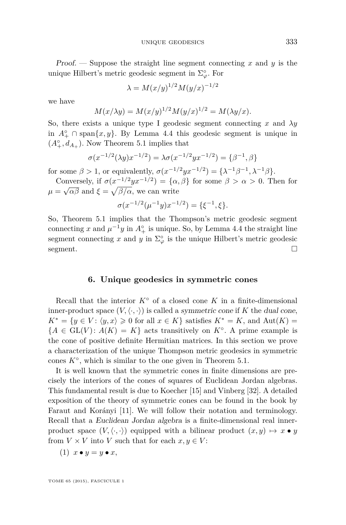Proof. — Suppose the straight line segment connecting *x* and *y* is the unique Hilbert's metric geodesic segment in  $\Sigma_\varphi^\circ$ . For

$$
\lambda = M(x/y)^{1/2} M(y/x)^{-1/2}
$$

we have

$$
M(x/\lambda y) = M(x/y)^{1/2} M(y/x)^{1/2} = M(\lambda y/x).
$$

So, there exists a unique type I geodesic segment connecting *x* and *λy* in  $A^{\circ}_{+}$  ∩ span $\{x, y\}$ . By Lemma [4.4](#page-13-0) this geodesic segment is unique in  $(A_+^{\circ}, d_{A_+})$ . Now Theorem [5.1](#page-16-0) implies that

$$
\sigma(x^{-1/2}(\lambda y)x^{-1/2}) = \lambda \sigma(x^{-1/2}yx^{-1/2}) = {\beta^{-1}, \beta}
$$

for some  $\beta > 1$ , or equivalently,  $\sigma(x^{-1/2}yx^{-1/2}) = {\lambda^{-1}\beta^{-1}, \lambda^{-1}\beta}.$ 

Conversely, if  $\sigma(x^{-1/2}yx^{-1/2}) = {\alpha, \beta}$  for some  $\beta > \alpha > 0$ . Then for  $\mu = \sqrt{\alpha \beta}$  and  $\xi = \sqrt{\beta/\alpha}$ , we can write

$$
\sigma(x^{-1/2}(\mu^{-1}y)x^{-1/2}) = \{\xi^{-1}, \xi\}.
$$

So, Theorem [5.1](#page-16-0) implies that the Thompson's metric geodesic segment connecting *x* and  $\mu^{-1}y$  in  $A^{\circ}_{+}$  is unique. So, by Lemma [4.4](#page-13-0) the straight line segment connecting x and y in  $\Sigma^{\circ}_{\varphi}$  is the unique Hilbert's metric geodesic segment.  $\square$ 

#### **6. Unique geodesics in symmetric cones**

Recall that the interior  $K^{\circ}$  of a closed cone  $K$  in a finite-dimensional inner-product space  $(V, \langle \cdot, \cdot \rangle)$  is called a symmetric cone if *K* the dual cone,  $K^* = \{y \in V : \langle y, x \rangle \geq 0 \text{ for all } x \in K\}$  satisfies  $K^* = K$ , and  $Aut(K) =$  ${A \in GL(V): A(K) = K}$  acts transitively on  $K^{\circ}$ . A prime example is the cone of positive definite Hermitian matrices. In this section we prove a characterization of the unique Thompson metric geodesics in symmetric cones  $K^{\circ}$ , which is similar to the one given in Theorem [5.1.](#page-16-0)

It is well known that the symmetric cones in finite dimensions are precisely the interiors of the cones of squares of Euclidean Jordan algebras. This fundamental result is due to Koecher [\[15\]](#page-33-0) and Vinberg [\[32\]](#page-34-0). A detailed exposition of the theory of symmetric cones can be found in the book by Faraut and Korányi [\[11\]](#page-33-0). We will follow their notation and terminology. Recall that a Euclidean Jordan algebra is a finite-dimensional real innerproduct space  $(V, \langle \cdot, \cdot \rangle)$  equipped with a bilinear product  $(x, y) \mapsto x \bullet y$ from  $V \times V$  into *V* such that for each  $x, y \in V$ :

$$
(1) x \bullet y = y \bullet x,
$$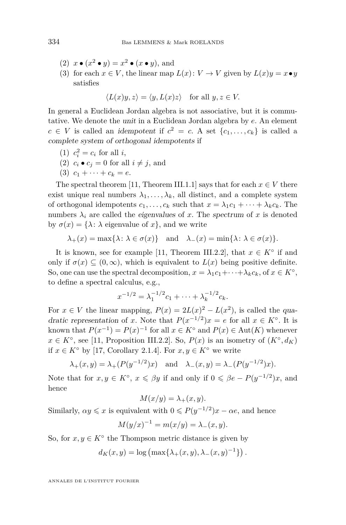- (2)  $x \bullet (x^2 \bullet y) = x^2 \bullet (x \bullet y)$ , and
- (3) for each  $x \in V$ , the linear map  $L(x)$ :  $V \to V$  given by  $L(x)y = x \bullet y$ satisfies

$$
\langle L(x)y, z \rangle = \langle y, L(x)z \rangle \quad \text{for all } y, z \in V.
$$

In general a Euclidean Jordan algebra is not associative, but it is commutative. We denote the unit in a Euclidean Jordan algebra by *e*. An element  $c \in V$  is called an idempotent if  $c^2 = c$ . A set  $\{c_1, \ldots, c_k\}$  is called a complete system of orthogonal idempotents if

- (1)  $c_i^2 = c_i$  for all *i*,
- (2)  $c_i \bullet c_j = 0$  for all  $i \neq j$ , and
- $(3)$   $c_1 + \cdots + c_k = e$ .

The spectral theorem [\[11,](#page-33-0) Theorem III.1.1] says that for each  $x \in V$  there exist unique real numbers  $\lambda_1, \ldots, \lambda_k$ , all distinct, and a complete system of orthogonal idempotents  $c_1, \ldots, c_k$  such that  $x = \lambda_1 c_1 + \cdots + \lambda_k c_k$ . The numbers  $\lambda_i$  are called the eigenvalues of x. The spectrum of x is denoted by  $\sigma(x) = {\lambda : \lambda}$  eigenvalue of x, and we write

$$
\lambda_+(x) = \max\{\lambda : \lambda \in \sigma(x)\}\
$$
 and  $\lambda_-(x) = \min\{\lambda : \lambda \in \sigma(x)\}.$ 

It is known, see for example [\[11,](#page-33-0) Theorem III.2.2], that  $x \in K^{\circ}$  if and only if  $\sigma(x) \subseteq (0,\infty)$ , which is equivalent to  $L(x)$  being positive definite. So, one can use the spectral decomposition,  $x = \lambda_1 c_1 + \cdots + \lambda_k c_k$ , of  $x \in K^{\circ}$ , to define a spectral calculus, e.g.,

$$
x^{-1/2} = \lambda_1^{-1/2} c_1 + \dots + \lambda_k^{-1/2} c_k.
$$

For  $x \in V$  the linear mapping,  $P(x) = 2L(x)^2 - L(x^2)$ , is called the quadratic representation of *x*. Note that  $P(x^{-1/2})x = e$  for all  $x \in K^{\circ}$ . It is known that  $P(x^{-1}) = P(x)^{-1}$  for all  $x \in K^{\circ}$  and  $P(x) \in Aut(K)$  whenever *x* ∈ *K*<sup>°</sup>, see [\[11,](#page-33-0) Proposition III.2.2]. So, *P*(*x*) is an isometry of  $(K^{\circ}, d_K)$ if *x* ∈ *K*◦ by [\[17,](#page-33-0) Corollary 2.1.4]. For *x, y* ∈ *K*◦ we write

$$
\lambda_+(x, y) = \lambda_+(P(y^{-1/2})x)
$$
 and  $\lambda_-(x, y) = \lambda_-(P(y^{-1/2})x)$ .

Note that for  $x, y \in K^{\circ}$ ,  $x \le \beta y$  if and only if  $0 \le \beta e - P(y^{-1/2})x$ , and hence

$$
M(x/y) = \lambda_+(x, y).
$$

Similarly,  $\alpha y \leq x$  is equivalent with  $0 \leq P(y^{-1/2})x - \alpha e$ , and hence

$$
M(y/x)^{-1} = m(x/y) = \lambda_{-}(x, y).
$$

So, for  $x, y \in K^{\circ}$  the Thompson metric distance is given by

$$
d_K(x, y) = \log \left( \max\{\lambda_+(x, y), \lambda_-(x, y)^{-1}\} \right).
$$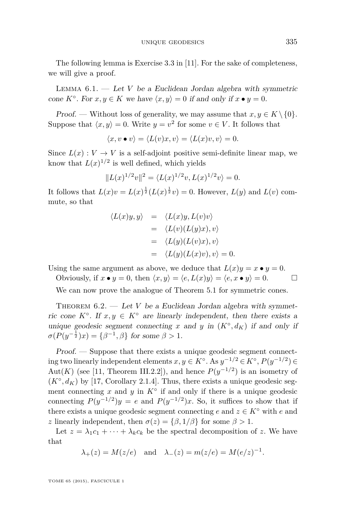<span id="page-21-0"></span>The following lemma is Exercise 3.3 in [\[11\]](#page-33-0). For the sake of completeness, we will give a proof.

LEMMA  $6.1.$  — Let *V* be a Euclidean Jordan algebra with symmetric cone  $K^{\circ}$ . For  $x, y \in K$  we have  $\langle x, y \rangle = 0$  if and only if  $x \bullet y = 0$ .

Proof. — Without loss of generality, we may assume that  $x, y \in K \setminus \{0\}$ . Suppose that  $\langle x, y \rangle = 0$ . Write  $y = v^2$  for some  $v \in V$ . It follows that

$$
\langle x, v \bullet v \rangle = \langle L(v)x, v \rangle = \langle L(x)v, v \rangle = 0.
$$

Since  $L(x) : V \to V$  is a self-adjoint positive semi-definite linear map, we know that  $L(x)^{1/2}$  is well defined, which yields

$$
||L(x)^{1/2}v||^2 = \langle L(x)^{1/2}v, L(x)^{1/2}v \rangle = 0.
$$

It follows that  $L(x)v = L(x)^{\frac{1}{2}}(L(x)^{\frac{1}{2}}v) = 0$ . However,  $L(y)$  and  $L(v)$  commute, so that

$$
\langle L(x)y, y \rangle = \langle L(x)y, L(v)v \rangle
$$
  
= 
$$
\langle L(v)(L(y)x), v \rangle
$$
  
= 
$$
\langle L(y)(L(v)x), v \rangle
$$
  
= 
$$
\langle L(y)(L(x)v), v \rangle = 0.
$$

Using the same argument as above, we deduce that  $L(x)y = x \bullet y = 0$ .

Obviously, if  $x \bullet y = 0$ , then  $\langle x, y \rangle = \langle e, L(x)y \rangle = \langle e, x \bullet y \rangle = 0$ .

We can now prove the analogue of Theorem [5.1](#page-16-0) for symmetric cones.

THEOREM  $6.2.$  — Let *V* be a Euclidean Jordan algebra with symmetric cone  $K^{\circ}$ . If  $x, y \in K^{\circ}$  are linearly independent, then there exists a unique geodesic segment connecting *x* and *y* in  $(K^{\circ}, d_K)$  if and only if  $\sigma(P(y^{-\frac{1}{2}})x) = {\beta^{-1}, \beta}$  for some  $\beta > 1$ .

Proof. — Suppose that there exists a unique geodesic segment connecting two linearly independent elements  $x, y \in K^{\circ}$ . As  $y^{-1/2} \in K^{\circ}$ ,  $P(y^{-1/2}) \in$ Aut(*K*) (see [\[11,](#page-33-0) Theorem III.2.2]), and hence  $P(y^{-1/2})$  is an isometry of  $(K^{\circ}, d_K)$  by [\[17,](#page-33-0) Corollary 2.1.4]. Thus, there exists a unique geodesic segment connecting  $x$  and  $y$  in  $K^{\circ}$  if and only if there is a unique geodesic connecting  $P(y^{-1/2})y = e$  and  $P(y^{-1/2})x$ . So, it suffices to show that if there exists a unique geodesic segment connecting  $e$  and  $z \in K^{\circ}$  with  $e$  and *z* linearly independent, then  $\sigma(z) = {\beta, 1/\beta}$  for some  $\beta > 1$ .

Let  $z = \lambda_1 c_1 + \cdots + \lambda_k c_k$  be the spectral decomposition of *z*. We have that

 $\lambda_+(z) = M(z/e)$  and  $\lambda_-(z) = m(z/e) = M(e/z)^{-1}$ .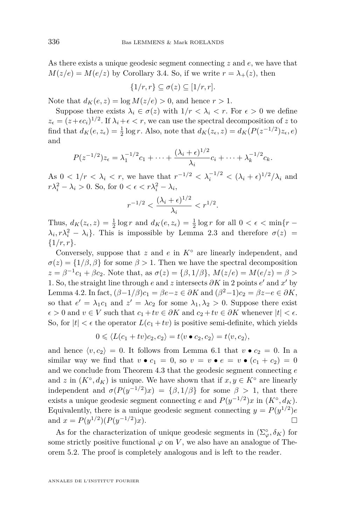As there exists a unique geodesic segment connecting *z* and *e*, we have that  $M(z/e) = M(e/z)$  by Corollary [3.4.](#page-8-0) So, if we write  $r = \lambda_+(z)$ , then

$$
\{1/r,r\} \subseteq \sigma(z) \subseteq [1/r,r].
$$

Note that  $d_K(e, z) = \log M(z/e) > 0$ , and hence  $r > 1$ .

Suppose there exists  $\lambda_i \in \sigma(z)$  with  $1/r < \lambda_i < r$ . For  $\epsilon > 0$  we define  $z_{\epsilon} = (z + \epsilon c_i)^{1/2}$ . If  $\lambda_i + \epsilon < r$ , we can use the spectral decomposition of *z* to find that  $d_K(e, z_\epsilon) = \frac{1}{2} \log r$ . Also, note that  $d_K(z_\epsilon, z) = d_K(P(z^{-1/2})z_\epsilon, e)$ and

$$
P(z^{-1/2})z_{\epsilon} = \lambda_1^{-1/2}c_1 + \cdots + \frac{(\lambda_i + \epsilon)^{1/2}}{\lambda_i}c_i + \cdots + \lambda_k^{-1/2}c_k.
$$

As  $0 < 1/r < \lambda_i < r$ , we have that  $r^{-1/2} < \lambda_i^{-1/2} < (\lambda_i + \epsilon)^{1/2}/\lambda_i$  and  $r\lambda_i^2 - \lambda_i > 0$ . So, for  $0 < \epsilon < r\lambda_i^2 - \lambda_i$ ,

$$
r^{-1/2} < \frac{(\lambda_i + \epsilon)^{1/2}}{\lambda_i} < r^{1/2}.
$$

Thus,  $d_K(z_\epsilon, z) = \frac{1}{2} \log r$  and  $d_K(e, z_\epsilon) = \frac{1}{2} \log r$  for all  $0 < \epsilon < \min\{r - \epsilon\}$  $\lambda_i$ ,  $r\lambda_i^2 - \lambda_i$ . This is impossible by Lemma [2.3](#page-6-0) and therefore  $\sigma(z)$  = {1*/r, r*}.

Conversely, suppose that *z* and *e* in *K*◦ are linearly independent, and  $\sigma(z) = \{1/\beta, \beta\}$  for some  $\beta > 1$ . Then we have the spectral decomposition  $z = \beta^{-1}c_1 + \beta c_2$ . Note that, as  $\sigma(z) = \{\beta, 1/\beta\}$ ,  $M(z/e) = M(e/z) = \beta >$ 1. So, the straight line through  $e$  and  $z$  intersects  $\partial K$  in 2 points  $e'$  and  $x'$  by Lemma [4.2.](#page-10-0) In fact,  $(\beta - 1/\beta)c_1 = \beta e - z \in \partial K$  and  $(\beta^2 - 1)c_2 = \beta z - e \in \partial K$ , so that  $e' = \lambda_1 c_1$  and  $z' = \lambda c_2$  for some  $\lambda_1, \lambda_2 > 0$ . Suppose there exist  $\epsilon > 0$  and  $v \in V$  such that  $c_1 + tv \in \partial K$  and  $c_2 + tv \in \partial K$  whenever  $|t| < \epsilon$ . So, for  $|t| < \epsilon$  the operator  $L(c_1 + tv)$  is positive semi-definite, which yields

$$
0 \leq \langle L(c_1 + tv)c_2, c_2 \rangle = t \langle v \bullet c_2, c_2 \rangle = t \langle v, c_2 \rangle,
$$

and hence  $\langle v, c_2 \rangle = 0$ . It follows from Lemma [6.1](#page-21-0) that  $v \bullet c_2 = 0$ . In a similar way we find that  $v \bullet c_1 = 0$ , so  $v = v \bullet e = v \bullet (c_1 + c_2) = 0$ and we conclude from Theorem [4.3](#page-10-0) that the geodesic segment connecting *e* and *z* in  $(K^{\circ}, d_K)$  is unique. We have shown that if  $x, y \in K^{\circ}$  are linearly independent and  $\sigma(P(y^{-1/2})x) = {\beta, 1/\beta}$  for some  $\beta > 1$ , that there exists a unique geodesic segment connecting *e* and  $P(y^{-1/2})x$  in  $(K^{\circ}, d_K)$ . Equivalently, there is a unique geodesic segment connecting  $y = P(y^{1/2})e$ and  $x = P(y^{1/2}) (P(y^{-1/2}))$  $(x)$ .

As for the characterization of unique geodesic segments in  $(\Sigma_{\varphi}^{\circ}, \delta_K)$  for some strictly positive functional  $\varphi$  on *V*, we also have an analogue of Theorem [5.2.](#page-18-0) The proof is completely analogous and is left to the reader.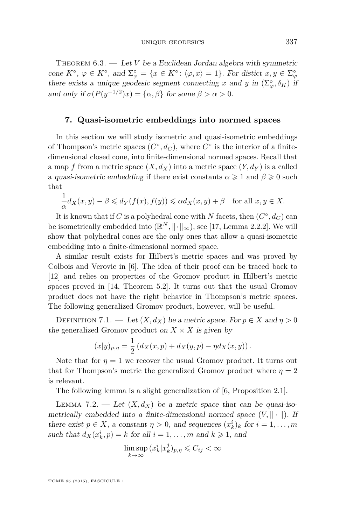<span id="page-23-0"></span>THEOREM  $6.3.$  — Let *V* be a Euclidean Jordan algebra with symmetric cone  $K^{\circ}$ ,  $\varphi \in K^{\circ}$ , and  $\Sigma^{\circ}_{\varphi} = \{x \in K^{\circ} : \langle \varphi, x \rangle = 1\}$ . For distict  $x, y \in \Sigma^{\circ}_{\varphi}$ there exists a unique geodesic segment connecting *x* and *y* in  $(\Sigma_{\varphi}^{\circ}, \delta_K)$  if and only if  $\sigma(P(y^{-1/2})x) = {\alpha, \beta}$  for some  $\beta > \alpha > 0$ .

#### **7. Quasi-isometric embeddings into normed spaces**

In this section we will study isometric and quasi-isometric embeddings of Thompson's metric spaces  $(C^{\circ}, d_C)$ , where  $C^{\circ}$  is the interior of a finitedimensional closed cone, into finite-dimensional normed spaces. Recall that a map *f* from a metric space  $(X, d_X)$  into a metric space  $(Y, d_Y)$  is a called a quasi-isometric embedding if there exist constants  $\alpha \geq 1$  and  $\beta \geq 0$  such that

$$
\frac{1}{\alpha}d_X(x,y) - \beta \leq d_Y(f(x), f(y)) \leq \alpha d_X(x,y) + \beta \quad \text{for all } x, y \in X.
$$

It is known that if *C* is a polyhedral cone with *N* facets, then  $(C^{\circ}, d_C)$  can be isometrically embedded into  $(\mathbb{R}^N, \|\cdot\|_{\infty})$ , see [\[17,](#page-33-0) Lemma 2.2.2]. We will show that polyhedral cones are the only ones that allow a quasi-isometric embedding into a finite-dimensional normed space.

A similar result exists for Hilbert's metric spaces and was proved by Colbois and Verovic in [\[6\]](#page-33-0). The idea of their proof can be traced back to [\[12\]](#page-33-0) and relies on properties of the Gromov product in Hilbert's metric spaces proved in [\[14,](#page-33-0) Theorem 5.2]. It turns out that the usual Gromov product does not have the right behavior in Thompson's metric spaces. The following generalized Gromov product, however, will be useful.

DEFINITION 7.1. — Let  $(X, d_X)$  be a metric space. For  $p \in X$  and  $\eta > 0$ the generalized Gromov product on  $X \times X$  is given by

$$
(x|y)_{p,\eta} = \frac{1}{2} (d_X(x,p) + d_X(y,p) - \eta d_X(x,y)).
$$

Note that for  $\eta = 1$  we recover the usual Gromov product. It turns out that for Thompson's metric the generalized Gromov product where  $\eta = 2$ is relevant.

The following lemma is a slight generalization of [\[6,](#page-33-0) Proposition 2.1].

LEMMA 7.2. — Let  $(X, d_X)$  be a metric space that can be quasi-isometrically embedded into a finite-dimensional normed space  $(V, \|\cdot\|)$ . If there exist  $p \in X$ , a constant  $\eta > 0$ , and sequences  $(x_k^i)_k$  for  $i = 1, ..., m$ such that  $d_X(x_k^i, p) = k$  for all  $i = 1, \ldots, m$  and  $k \geq 1$ , and

$$
\limsup_{k \to \infty} (x_k^i | x_k^j)_{p,\eta} \leqslant C_{ij} < \infty
$$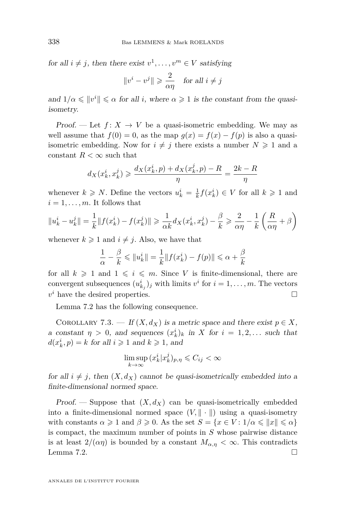<span id="page-24-0"></span>for all  $i \neq j$ , then there exist  $v^1, \ldots, v^m \in V$  satisfying

$$
\|v^i-v^j\|\geqslant\frac{2}{\alpha\eta}\quad\text{for all }i\neq j
$$

and  $1/\alpha \leqslant ||v^i|| \leqslant \alpha$  for all *i*, where  $\alpha \geqslant 1$  is the constant from the quasiisometry.

Proof. — Let  $f: X \to V$  be a quasi-isometric embedding. We may as well assume that  $f(0) = 0$ , as the map  $g(x) = f(x) - f(p)$  is also a quasiisometric embedding. Now for  $i \neq j$  there exists a number  $N \geq 1$  and a constant  $R < \infty$  such that

$$
d_X(x_k^i, x_k^j) \geqslant \frac{d_X(x_k^i, p) + d_X(x_k^j, p) - R}{\eta} = \frac{2k - R}{\eta}
$$

whenever  $k \geq N$ . Define the vectors  $u_k^i = \frac{1}{k} f(x_k^i) \in V$  for all  $k \geq 1$  and  $i = 1, \ldots, m$ . It follows that

$$
||u_k^i - u_k^j|| = \frac{1}{k} ||f(x_k^i) - f(x_k^j)|| \ge \frac{1}{\alpha k} d_X(x_k^i, x_k^j) - \frac{\beta}{k} \ge \frac{2}{\alpha \eta} - \frac{1}{k} \left(\frac{R}{\alpha \eta} + \beta\right)
$$

whenever  $k \geq 1$  and  $i \neq j$ . Also, we have that

$$
\frac{1}{\alpha} - \frac{\beta}{k} \le ||u_k^i|| = \frac{1}{k} ||f(x_k^i) - f(p)|| \le \alpha + \frac{\beta}{k}
$$

for all  $k \geq 1$  and  $1 \leq i \leq m$ . Since *V* is finite-dimensional, there are convergent subsequences  $(u_{k_j}^i)_j$  with limits  $v^i$  for  $i = 1, ..., m$ . The vectors  $v^i$  have the desired properties.

Lemma [7.2](#page-23-0) has the following consequence.

COROLLARY 7.3. — If  $(X, d_X)$  is a metric space and there exist  $p \in X$ , a constant  $\eta > 0$ , and sequences  $(x_k^i)_k$  in *X* for  $i = 1, 2, \ldots$  such that  $d(x_k^i, p) = k$  for all  $i \geq 1$  and  $k \geq 1$ , and

$$
\limsup_{k \to \infty} (x_k^i | x_k^j)_{p,\eta} \leqslant C_{ij} < \infty
$$

for all  $i \neq j$ , then  $(X, d_X)$  cannot be quasi-isometrically embedded into a finite-dimensional normed space.

Proof. — Suppose that  $(X, d_X)$  can be quasi-isometrically embedded into a finite-dimensional normed space  $(V, \|\cdot\|)$  using a quasi-isometry with constants  $\alpha \geq 1$  and  $\beta \geq 0$ . As the set  $S = \{x \in V : 1/\alpha \leq ||x|| \leq \alpha\}$ is compact, the maximum number of points in *S* whose pairwise distance is at least  $2/(\alpha \eta)$  is bounded by a constant  $M_{\alpha,\eta} < \infty$ . This contradicts Lemma [7.2.](#page-23-0)  $\Box$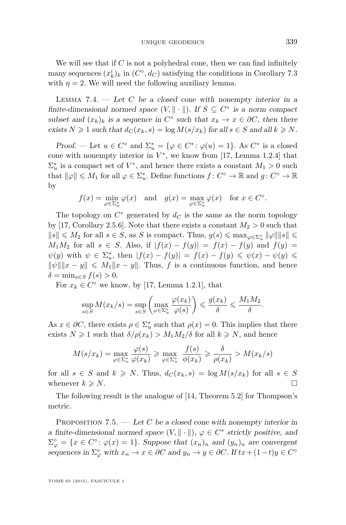<span id="page-25-0"></span>We will see that if *C* is not a polyhedral cone, then we can find infinitely many sequences  $(x_k^i)_k$  in  $(C^{\circ}, d_C)$  satisfying the conditions in Corollary [7.3](#page-24-0) with  $\eta = 2$ . We will need the following auxiliary lemma.

LEMMA 7.4.  $\qquad$  Let *C* be a closed cone with nonempty interior in a finite-dimensional normed space  $(V, \|\cdot\|)$ . If  $S \subseteq C^{\circ}$  is a norm compact subset and  $(x_k)_k$  is a sequence in  $C^{\circ}$  such that  $x_k \to x \in \partial C$ , then there exists  $N \geq 1$  such that  $d_C(x_k, s) = \log M(s/x_k)$  for all  $s \in S$  and all  $k \geq N$ .

Proof. — Let  $u \in C^{\circ}$  and  $\Sigma_u^* = {\varphi \in C^* : \varphi(u) = 1}.$  As  $C^*$  is a closed cone with nonempty interior in  $V^*$ , we know from [\[17,](#page-33-0) Lemma 1.2.4] that  $\Sigma_u^*$  is a compact set of  $V^*$ , and hence there exists a constant  $M_1 > 0$  such that  $\|\varphi\| \leq M_1$  for all  $\varphi \in \Sigma_u^*$ . Define functions  $f: C^\circ \to \mathbb{R}$  and  $g: C^\circ \to \mathbb{R}$ by

$$
f(x) = \min_{\varphi \in \Sigma_u^*} \varphi(x)
$$
 and  $g(x) = \max_{\varphi \in \Sigma_u^*} \varphi(x)$  for  $x \in C^\circ$ .

The topology on  $C^{\circ}$  generated by  $d_C$  is the same as the norm topology by [\[17,](#page-33-0) Corollary 2.5.6]. Note that there exists a constant  $M_2 > 0$  such that  $||s|| \le M_2$  for all  $s \in S$ , as *S* is compact. Thus,  $g(s) \le \max_{\varphi \in \Sigma^*_u} ||\varphi|| ||s|| \le$ *M*<sub>1</sub>*M*<sub>2</sub> for all *s* ∈ *S*. Also, if  $|f(x) - f(y)| = f(x) - f(y)$  and  $f(y) =$  $\psi(y)$  with  $\psi \in \Sigma_u^*$ , then  $|f(x) - f(y)| = f(x) - f(y) \leq \psi(x) - \psi(y) \leq$  $\|\psi\| \|x - y\| \le M_1 \|x - y\|$ . Thus, *f* is a continuous function, and hence  $\delta = \min_{s \in S} f(s) > 0.$ 

For  $x_k \in C^{\circ}$  we know, by [\[17,](#page-33-0) Lemma 1.2.1], that

$$
\sup_{s \in S} M(x_k/s) = \sup_{s \in S} \left( \max_{\varphi \in \Sigma_u^*} \frac{\varphi(x_k)}{\varphi(s)} \right) \leqslant \frac{g(x_k)}{\delta} \leqslant \frac{M_1 M_2}{\delta}.
$$

As  $x \in \partial C$ , there exists  $\rho \in \Sigma_u^*$  such that  $\rho(x) = 0$ . This implies that there exists  $N \geq 1$  such that  $\delta/\rho(x_k) > M_1 M_2/\delta$  for all  $k \geq N$ , and hence

$$
M(s/x_k) = \max_{\varphi \in \Sigma_u^*} \frac{\varphi(s)}{\varphi(x_k)} \ge \max_{\varphi \in \Sigma_u^*} \frac{f(s)}{\phi(x_k)} \ge \frac{\delta}{\rho(x_k)} > M(x_k/s)
$$

for all  $s \in S$  and  $k \geq N$ . Thus,  $d_C(x_k, s) = \log M(s/x_k)$  for all  $s \in S$ whenever  $k \geq N$ .

The following result is the analogue of [\[14,](#page-33-0) Theorem 5.2] for Thompson's metric.

PROPOSITION 7.5. — Let *C* be a closed cone with nonempty interior in a finite-dimensional normed space  $(V, \|\cdot\|)$ ,  $\varphi \in C^*$  strictly positive, and  $\Sigma_{\varphi}^{\circ} = \{x \in C^{\circ} : \varphi(x) = 1\}.$  Suppose that  $(x_n)_n$  and  $(y_n)_n$  are convergent sequences in  $\Sigma^{\circ}_{\varphi}$  with  $x_n \to x \in \partial C$  and  $y_n \to y \in \partial C$ . If  $tx + (1-t)y \in C^{\circ}$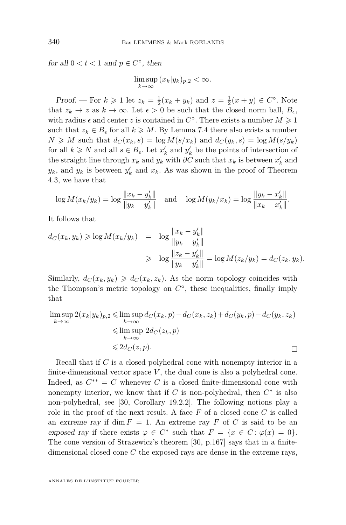for all  $0 < t < 1$  and  $p \in C^{\circ}$ , then

 $\limsup (x_k|y_k)_{p,2} < \infty.$ *k*→∞

*Proof.* — For  $k \ge 1$  let  $z_k = \frac{1}{2}(x_k + y_k)$  and  $z = \frac{1}{2}(x + y) \in C^{\circ}$ . Note that  $z_k \to z$  as  $k \to \infty$ . Let  $\epsilon > 0$  be such that the closed norm ball,  $B_{\epsilon}$ , with radius  $\epsilon$  and center *z* is contained in  $C^{\circ}$ . There exists a number  $M \geq 1$ such that  $z_k \in B_\epsilon$  for all  $k \geq M$ . By Lemma [7.4](#page-25-0) there also exists a number  $N \geq M$  such that  $d_C(x_k, s) = \log M(s/x_k)$  and  $d_C(y_k, s) = \log M(s/y_k)$ for all  $k \geq N$  and all  $s \in B_{\epsilon}$ . Let  $x'_{k}$  and  $y'_{k}$  be the points of intersection of the straight line through  $x_k$  and  $y_k$  with  $\partial C$  such that  $x_k$  is between  $x'_k$  and  $y_k$ , and  $y_k$  is between  $y'_k$  and  $x_k$ . As was shown in the proof of Theorem [4.3,](#page-10-0) we have that

$$
\log M(x_k/y_k) = \log \frac{\|x_k - y'_k\|}{\|y_k - y'_k\|} \quad \text{and} \quad \log M(y_k/x_k) = \log \frac{\|y_k - x'_k\|}{\|x_k - x'_k\|}.
$$

It follows that

$$
d_C(x_k, y_k) \ge \log M(x_k/y_k) = \log \frac{\|x_k - y'_k\|}{\|y_k - y'_k\|} \ge \log \frac{\|z_k - y'_k\|}{\|y_k - y'_k\|} = \log M(z_k/y_k) = d_C(z_k, y_k).
$$

Similarly,  $d_C(x_k, y_k) \geq d_C(x_k, z_k)$ . As the norm topology coincides with the Thompson's metric topology on  $C^{\circ}$ , these inequalities, finally imply that

$$
\limsup_{k \to \infty} 2(x_k|y_k)_{p,2} \leq \limsup_{k \to \infty} d_C(x_k, p) - d_C(x_k, z_k) + d_C(y_k, p) - d_C(y_k, z_k)
$$
  
\n
$$
\leq \limsup_{k \to \infty} 2d_C(z_k, p)
$$
  
\n
$$
\leq 2d_C(z, p).
$$

Recall that if *C* is a closed polyhedral cone with nonempty interior in a finite-dimensional vector space  $V$ , the dual cone is also a polyhedral cone. Indeed, as  $C^{**} = C$  whenever *C* is a closed finite-dimensional cone with nonempty interior, we know that if  $C$  is non-polyhedral, then  $C^*$  is also non-polyhedral, see [\[30,](#page-34-0) Corollary 19.2.2]. The following notions play a role in the proof of the next result. A face *F* of a closed cone *C* is called an extreme ray if dim  $F = 1$ . An extreme ray F of C is said to be an exposed ray if there exists  $\varphi \in C^*$  such that  $F = \{x \in C : \varphi(x) = 0\}.$ The cone version of Strazewicz's theorem [\[30,](#page-34-0) p.167] says that in a finitedimensional closed cone *C* the exposed rays are dense in the extreme rays,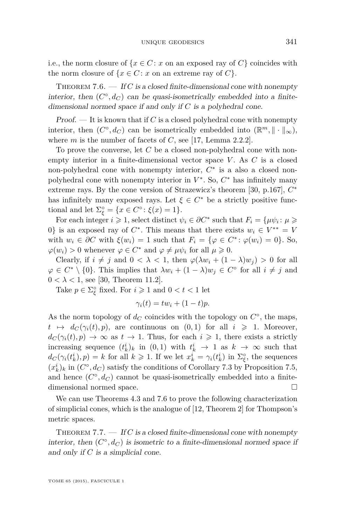<span id="page-27-0"></span>i.e., the norm closure of  $\{x \in C : x$  on an exposed ray of  $C$  coincides with the norm closure of  $\{x \in C : x$  on an extreme ray of  $C\}$ .

THEOREM 7.6.  $-$  If *C* is a closed finite-dimensional cone with nonempty interior, then  $(C^{\circ}, d_C)$  can be quasi-isometrically embedded into a finitedimensional normed space if and only if *C* is a polyhedral cone.

 $Proof.$  — It is known that if *C* is a closed polyhedral cone with nonempty interior, then  $(C^{\circ}, d_C)$  can be isometrically embedded into  $(\mathbb{R}^m, \|\cdot\|_{\infty})$ , where *m* is the number of facets of *C*, see [\[17,](#page-33-0) Lemma 2.2.2].

To prove the converse, let *C* be a closed non-polyhedral cone with nonempty interior in a finite-dimensional vector space *V* . As *C* is a closed non-polyhedral cone with nonempty interior,  $C^*$  is a also a closed nonpolyhedral cone with nonempty interior in  $V^*$ . So,  $C^*$  has infinitely many extreme rays. By the cone version of Strazewicz's theorem [\[30,](#page-34-0) p.167], *C* ∗ has infinitely many exposed rays. Let  $\xi \in C^*$  be a strictly positive functional and let  $\Sigma_{\xi}^{\circ} = \{x \in C^{\circ} : \xi(x) = 1\}.$ 

For each integer  $i \geq 1$ , select distinct  $\psi_i \in \partial C^*$  such that  $F_i = {\mu \psi_i : \mu \geq 1}$ 0} is an exposed ray of  $C^*$ . This means that there exists  $w_i \in V^{**} = V$ with  $w_i \in \partial C$  with  $\xi(w_i) = 1$  such that  $F_i = \{ \varphi \in C^* : \varphi(w_i) = 0 \}.$  So,  $\varphi(w_i) > 0$  whenever  $\varphi \in C^*$  and  $\varphi \neq \mu \psi_i$  for all  $\mu \geq 0$ .

Clearly, if  $i \neq j$  and  $0 < \lambda < 1$ , then  $\varphi(\lambda w_i + (1 - \lambda)w_j) > 0$  for all  $\varphi \in C^* \setminus \{0\}$ . This implies that  $\lambda w_i + (1 - \lambda) w_j \in C^{\circ}$  for all  $i \neq j$  and  $0 < \lambda < 1$ , see [\[30,](#page-34-0) Theorem 11.2].

Take  $p \in \Sigma_{\xi}^{\circ}$  fixed. For  $i \geqslant 1$  and  $0 < t < 1$  let

$$
\gamma_i(t) = tw_i + (1-t)p.
$$

As the norm topology of  $d_C$  coincides with the topology on  $C^{\circ}$ , the maps,  $t \mapsto d_C(\gamma_i(t), p)$ , are continuous on  $(0, 1)$  for all  $i \geq 1$ . Moreover,  $d_C(\gamma_i(t), p) \to \infty$  as  $t \to 1$ . Thus, for each  $i \geq 1$ , there exists a strictly increasing sequence  $(t_k^i)_k$  in  $(0,1)$  with  $t_k^i \to 1$  as  $k \to \infty$  such that  $d_C(\gamma_i(t_k^i), p) = k$  for all  $k \geq 1$ . If we let  $x_k^i = \gamma_i(t_k^i)$  in  $\Sigma_{\xi}^{\circ}$ , the sequences  $(x_k^i)_k$  in  $(C^{\circ}, d_C)$  satisfy the conditions of Corollary [7.3](#page-24-0) by Proposition [7.5,](#page-25-0) and hence  $(C^{\circ}, d_C)$  cannot be quasi-isometrically embedded into a finitedimensional normed space.

We can use Theorems [4.3](#page-10-0) and 7.6 to prove the following characterization of simplicial cones, which is the analogue of [\[12,](#page-33-0) Theorem 2] for Thompson's metric spaces.

THEOREM 7.7.  $\longrightarrow$  If *C* is a closed finite-dimensional cone with nonempty interior, then  $(C^{\circ}, d_C)$  is isometric to a finite-dimensional normed space if and only if *C* is a simplicial cone.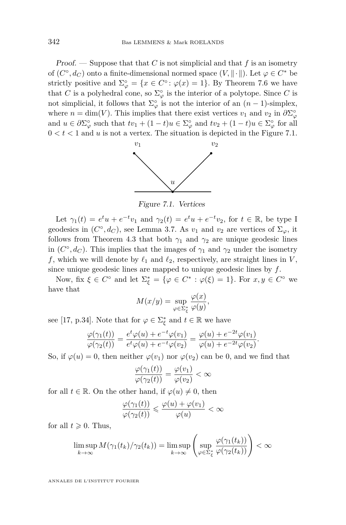Proof. — Suppose that that *C* is not simplicial and that *f* is an isometry of  $(C^{\circ}, d_C)$  onto a finite-dimensional normed space  $(V, \|\cdot\|)$ . Let  $\varphi \in C^*$  be strictly positive and  $\Sigma^{\circ}_{\varphi} = \{x \in C^{\circ} : \varphi(x) = 1\}$ . By Theorem [7.6](#page-27-0) we have that *C* is a polyhedral cone, so  $\Sigma^{\circ}_{\varphi}$  is the interior of a polytope. Since *C* is not simplicial, it follows that  $\Sigma^{\circ}_{\varphi}$  is not the interior of an  $(n-1)$ -simplex, where  $n = \dim(V)$ . This implies that there exist vertices  $v_1$  and  $v_2$  in  $\partial \Sigma^{\circ}_{\varphi}$ and  $u \in \partial \Sigma^{\circ}_{\varphi}$  such that  $tv_1 + (1-t)u \in \Sigma^{\circ}_{\varphi}$  and  $tv_2 + (1-t)u \in \Sigma^{\circ}_{\varphi}$  for all  $0 < t < 1$  and  $u$  is not a vertex. The situation is depicted in the Figure 7.1.



Figure 7.1. Vertices

Let  $\gamma_1(t) = e^t u + e^{-t} v_1$  and  $\gamma_2(t) = e^t u + e^{-t} v_2$ , for  $t \in \mathbb{R}$ , be type I geodesics in  $(C^{\circ}, d_C)$ , see Lemma [3.7.](#page-8-0) As  $v_1$  and  $v_2$  are vertices of  $\Sigma_{\varphi}$ , it follows from Theorem [4.3](#page-10-0) that both  $\gamma_1$  and  $\gamma_2$  are unique geodesic lines in  $(C^{\circ}, d_C)$ . This implies that the images of  $\gamma_1$  and  $\gamma_2$  under the isometry *f*, which we will denote by  $\ell_1$  and  $\ell_2$ , respectively, are straight lines in *V*, since unique geodesic lines are mapped to unique geodesic lines by *f*.

Now, fix  $\xi \in C^{\circ}$  and let  $\Sigma_{\xi}^{*} = {\varphi \in C^{*} : \varphi(\xi) = 1}.$  For  $x, y \in C^{\circ}$  we have that

$$
M(x/y) = \sup_{\varphi \in \Sigma_{\xi}^*} \frac{\varphi(x)}{\varphi(y)},
$$

see [\[17,](#page-33-0) p.34]. Note that for  $\varphi \in \Sigma_{\xi}^*$  and  $t \in \mathbb{R}$  we have

$$
\frac{\varphi(\gamma_1(t))}{\varphi(\gamma_2(t))} = \frac{e^t \varphi(u) + e^{-t} \varphi(v_1)}{e^t \varphi(u) + e^{-t} \varphi(v_2)} = \frac{\varphi(u) + e^{-2t} \varphi(v_1)}{\varphi(u) + e^{-2t} \varphi(v_2)}.
$$

So, if  $\varphi(u) = 0$ , then neither  $\varphi(v_1)$  nor  $\varphi(v_2)$  can be 0, and we find that

$$
\frac{\varphi(\gamma_1(t))}{\varphi(\gamma_2(t))} = \frac{\varphi(v_1)}{\varphi(v_2)} < \infty
$$

for all  $t \in \mathbb{R}$ . On the other hand, if  $\varphi(u) \neq 0$ , then

$$
\frac{\varphi(\gamma_1(t))}{\varphi(\gamma_2(t))} \leqslant \frac{\varphi(u) + \varphi(v_1)}{\varphi(u)} < \infty
$$

for all  $t \geqslant 0$ . Thus,

$$
\limsup_{k \to \infty} M(\gamma_1(t_k)/\gamma_2(t_k)) = \limsup_{k \to \infty} \left( \sup_{\varphi \in \Sigma_{\xi}^*} \frac{\varphi(\gamma_1(t_k))}{\varphi(\gamma_2(t_k))} \right) < \infty
$$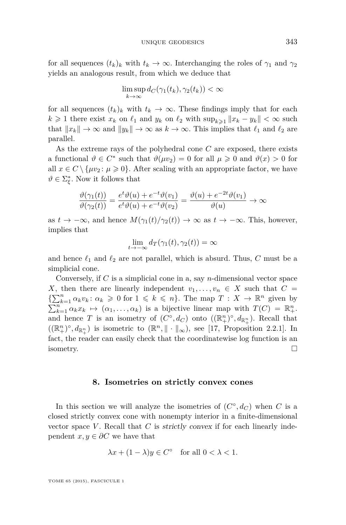for all sequences  $(t_k)_k$  with  $t_k \to \infty$ . Interchanging the roles of  $\gamma_1$  and  $\gamma_2$ yields an analogous result, from which we deduce that

$$
\limsup_{k \to \infty} d_C(\gamma_1(t_k), \gamma_2(t_k)) < \infty
$$

for all sequences  $(t_k)_k$  with  $t_k \to \infty$ . These findings imply that for each *k* ≥ 1 there exist  $x_k$  on  $\ell_1$  and  $y_k$  on  $\ell_2$  with  $\sup_{k\geq 1} ||x_k - y_k|| < \infty$  such that  $||x_k|| \to \infty$  and  $||y_k|| \to \infty$  as  $k \to \infty$ . This implies that  $\ell_1$  and  $\ell_2$  are parallel.

As the extreme rays of the polyhedral cone *C* are exposed, there exists a functional  $\vartheta \in C^*$  such that  $\vartheta(\mu v_2) = 0$  for all  $\mu \geq 0$  and  $\vartheta(x) > 0$  for all  $x \in C \setminus \{ \mu v_2 : \mu \geq 0 \}.$  After scaling with an appropriate factor, we have  $\vartheta \in \Sigma_{\xi}^*$ . Now it follows that

$$
\frac{\vartheta(\gamma_1(t))}{\vartheta(\gamma_2(t))} = \frac{e^t \vartheta(u) + e^{-t} \vartheta(v_1)}{e^t \vartheta(u) + e^{-t} \vartheta(v_2)} = \frac{\vartheta(u) + e^{-2t} \vartheta(v_1)}{\vartheta(u)} \to \infty
$$

as  $t \to -\infty$ , and hence  $M(\gamma_1(t)/\gamma_2(t)) \to \infty$  as  $t \to -\infty$ . This, however, implies that

$$
\lim_{t \to -\infty} d_T(\gamma_1(t), \gamma_2(t)) = \infty
$$

and hence  $\ell_1$  and  $\ell_2$  are not parallel, which is absurd. Thus, *C* must be a simplicial cone.

Conversely, if *C* is a simplicial cone in a, say *n*-dimensional vector space *X*, then there are linearly independent  $v_1, \ldots, v_n \in X$  such that  $C =$  $\{\sum_{k=1}^{n} \alpha_k v_k : \alpha_k \geq 0 \text{ for } 1 \leq k \leq n\}.$  The map  $T : X \to \mathbb{R}^n$  given by  $\sum_{k=1}^{n} \alpha_k x_k \mapsto (\alpha_1, \ldots, \alpha_k)$  is a bijective linear map with  $T(C) = \mathbb{R}^n_+$ . and hence *T* is an isometry of  $(C^{\circ}, d_C)$  onto  $((\mathbb{R}^n_+)^{\circ}, d_{\mathbb{R}^n_+})$ . Recall that  $((\mathbb{R}^n_+)^{\circ}, d_{\mathbb{R}^n_+})$  is isometric to  $(\mathbb{R}^n, \|\cdot\|_{\infty})$ , see [\[17,](#page-33-0) Proposition 2.2.1]. In fact, the reader can easily check that the coordinatewise log function is an isometry.  $\Box$ 

#### **8. Isometries on strictly convex cones**

In this section we will analyze the isometries of  $(C^{\circ}, d_C)$  when *C* is a closed strictly convex cone with nonempty interior in a finite-dimensional vector space V. Recall that  $C$  is strictly convex if for each linearly independent  $x, y \in \partial C$  we have that

$$
\lambda x + (1 - \lambda)y \in C^{\circ} \quad \text{for all } 0 < \lambda < 1.
$$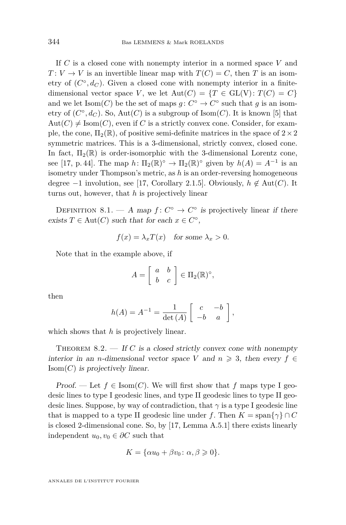If *C* is a closed cone with nonempty interior in a normed space *V* and  $T: V \to V$  is an invertible linear map with  $T(C) = C$ , then *T* is an isometry of  $(C^{\circ}, d_C)$ . Given a closed cone with nonempty interior in a finitedimensional vector space *V*, we let  $Aut(C) = \{T \in GL(V): T(C) = C\}$ and we let  $\text{Isom}(C)$  be the set of maps  $g: C^{\circ} \to C^{\circ}$  such that *g* is an isometry of  $(C^{\circ}, d_C)$ . So,  $Aut(C)$  is a subgroup of Isom $(C)$ . It is known [\[5\]](#page-33-0) that  $Aut(C) \neq Isom(C)$ , even if *C* is a strictly convex cone. Consider, for example, the cone,  $\Pi_2(\mathbb{R})$ , of positive semi-definite matrices in the space of  $2\times 2$ symmetric matrices. This is a 3-dimensional, strictly convex, closed cone. In fact,  $\Pi_2(\mathbb{R})$  is order-isomorphic with the 3-dimensional Lorentz cone, see [\[17,](#page-33-0) p. 44]. The map  $h: \Pi_2(\mathbb{R})^{\circ} \to \Pi_2(\mathbb{R})^{\circ}$  given by  $h(A) = A^{-1}$  is an isometry under Thompson's metric, as *h* is an order-reversing homogeneous degree  $-1$  involution, see [\[17,](#page-33-0) Corollary 2.1.5]. Obviously,  $h \notin Aut(C)$ . It turns out, however, that *h* is projectively linear

DEFINITION 8.1. — A map  $f: C^{\circ} \to C^{\circ}$  is projectively linear if there exists  $T \in Aut(C)$  such that for each  $x \in C^{\circ}$ ,

$$
f(x) = \lambda_x T(x) \quad \text{for some } \lambda_x > 0.
$$

Note that in the example above, if

$$
A = \left[ \begin{array}{cc} a & b \\ b & c \end{array} \right] \in \Pi_2(\mathbb{R})^\circ,
$$

then

$$
h(A) = A^{-1} = \frac{1}{\det(A)} \begin{bmatrix} c & -b \\ -b & a \end{bmatrix},
$$

which shows that *h* is projectively linear.

THEOREM  $8.2.$  – If *C* is a closed strictly convex cone with nonempty interior in an *n*-dimensional vector space *V* and  $n \geq 3$ , then every  $f \in$  $\text{Isom}(C)$  is projectively linear.

Proof. — Let  $f \in \text{Isom}(C)$ . We will first show that f maps type I geodesic lines to type I geodesic lines, and type II geodesic lines to type II geodesic lines. Suppose, by way of contradiction, that *γ* is a type I geodesic line that is mapped to a type II geodesic line under *f*. Then  $K = \text{span}\{\gamma\} \cap C$ is closed 2-dimensional cone. So, by [\[17,](#page-33-0) Lemma A.5.1] there exists linearly independent  $u_0, v_0 \in \partial C$  such that

$$
K = \{\alpha u_0 + \beta v_0 \colon \alpha, \beta \geq 0\}.
$$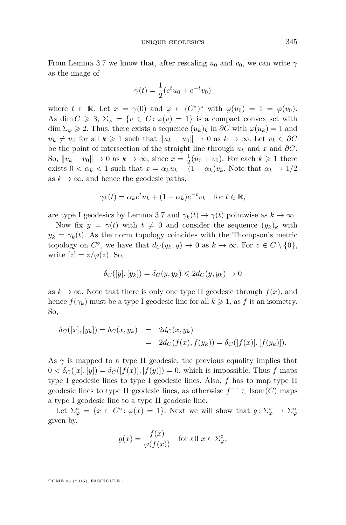$$
\gamma(t) = \frac{1}{2} (e^t u_0 + e^{-t} v_0)
$$

where  $t \in \mathbb{R}$ . Let  $x = \gamma(0)$  and  $\varphi \in (C^*)^{\circ}$  with  $\varphi(u_0) = 1 = \varphi(v_0)$ . As dim  $C \geq 3$ ,  $\Sigma_{\varphi} = \{v \in C : \varphi(v) = 1\}$  is a compact convex set with dim  $\Sigma_{\varphi} \geq 2$ . Thus, there exists a sequence  $(u_k)_k$  in  $\partial C$  with  $\varphi(u_k) = 1$  and  $u_k \neq u_0$  for all  $k \geq 1$  such that  $||u_k - u_0|| \to 0$  as  $k \to \infty$ . Let  $v_k \in \partial C$ be the point of intersection of the straight line through  $u_k$  and  $x$  and  $\partial C$ . So,  $||v_k - v_0|| \to 0$  as  $k \to \infty$ , since  $x = \frac{1}{2}(u_0 + v_0)$ . For each  $k \ge 1$  there exists  $0 < \alpha_k < 1$  such that  $x = \alpha_k u_k + (1 - \alpha_k)v_k$ . Note that  $\alpha_k \to 1/2$ as  $k \to \infty$ , and hence the geodesic paths,

$$
\gamma_k(t) = \alpha_k e^t u_k + (1 - \alpha_k) e^{-t} v_k \quad \text{for } t \in \mathbb{R},
$$

are type I geodesics by Lemma [3.7](#page-8-0) and  $\gamma_k(t) \to \gamma(t)$  pointwise as  $k \to \infty$ .

Now fix  $y = \gamma(t)$  with  $t \neq 0$  and consider the sequence  $(y_k)_k$  with  $y_k = \gamma_k(t)$ . As the norm topology coincides with the Thompson's metric topology on  $C^{\circ}$ , we have that  $d_C(y_k, y) \to 0$  as  $k \to \infty$ . For  $z \in C \setminus \{0\}$ , write  $[z] = z/\varphi(z)$ . So,

$$
\delta_C([y],[y_k]) = \delta_C(y,y_k) \leq 2d_C(y,y_k) \to 0
$$

as  $k \to \infty$ . Note that there is only one type II geodesic through  $f(x)$ , and hence  $f(\gamma_k)$  must be a type I geodesic line for all  $k \geq 1$ , as f is an isometry. So,

$$
\delta_C([x],[y_k]) = \delta_C(x,y_k) = 2d_C(x,y_k)
$$
  
=  $2d_C(f(x), f(y_k)) = \delta_C([f(x)], [f(y_k)]).$ 

As  $\gamma$  is mapped to a type II geodesic, the previous equality implies that  $0 < \delta_C([x], [y]) = \delta_C([f(x)], [f(y)]) = 0$ , which is impossible. Thus f maps type I geodesic lines to type I geodesic lines. Also, *f* has to map type II geodesic lines to type II geodesic lines, as otherwise  $f^{-1} \in \text{Isom}(C)$  maps a type I geodesic line to a type II geodesic line.

Let  $\Sigma^{\circ}_{\varphi} = \{x \in C^{\circ} \colon \varphi(x) = 1\}.$  Next we will show that  $g \colon \Sigma^{\circ}_{\varphi} \to \Sigma^{\circ}_{\varphi}$ given by,

$$
g(x) = \frac{f(x)}{\varphi(f(x))} \quad \text{for all } x \in \Sigma_{\varphi}^{\circ},
$$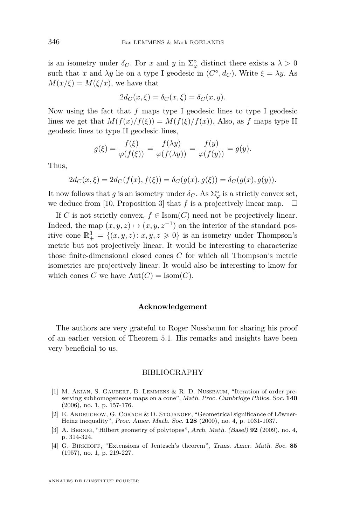<span id="page-32-0"></span>is an isometry under  $\delta_C$ . For *x* and *y* in  $\Sigma^{\circ}_{\varphi}$  distinct there exists a  $\lambda > 0$ such that *x* and  $\lambda y$  lie on a type I geodesic in  $(C^{\circ}, d_C)$ . Write  $\xi = \lambda y$ . As  $M(x/\xi) = M(\xi/x)$ , we have that

$$
2d_C(x,\xi) = \delta_C(x,\xi) = \delta_C(x,y).
$$

Now using the fact that *f* maps type I geodesic lines to type I geodesic lines we get that  $M(f(x)/f(\xi)) = M(f(\xi)/f(x))$ . Also, as *f* maps type II geodesic lines to type II geodesic lines,

$$
g(\xi) = \frac{f(\xi)}{\varphi(f(\xi))} = \frac{f(\lambda y)}{\varphi(f(\lambda y))} = \frac{f(y)}{\varphi(f(y))} = g(y).
$$

Thus,

$$
2d_C(x,\xi) = 2d_C(f(x),f(\xi)) = \delta_C(g(x),g(\xi)) = \delta_C(g(x),g(y)).
$$

It now follows that *g* is an isometry under  $\delta_C$ . As  $\Sigma^{\circ}_{\varphi}$  is a strictly convex set, we deduce from [\[10,](#page-33-0) Proposition 3] that *f* is a projectively linear map.  $\square$ 

If *C* is not strictly convex,  $f \in \text{Isom}(C)$  need not be projectively linear. Indeed, the map  $(x, y, z) \mapsto (x, y, z^{-1})$  on the interior of the standard positive cone  $\mathbb{R}^3_+ = \{(x, y, z) : x, y, z \geq 0\}$  is an isometry under Thompson's metric but not projectively linear. It would be interesting to characterize those finite-dimensional closed cones *C* for which all Thompson's metric isometries are projectively linear. It would also be interesting to know for which cones *C* we have  $Aut(C) = Isom(C)$ .

#### **Acknowledgement**

The authors are very grateful to Roger Nussbaum for sharing his proof of an earlier version of Theorem [5.1.](#page-16-0) His remarks and insights have been very beneficial to us.

#### BIBLIOGRAPHY

- [1] M. Akian, S. Gaubert, B. Lemmens & R. D. Nussbaum, "Iteration of order preserving subhomogeneous maps on a cone", Math. Proc. Cambridge Philos. Soc. **140** (2006), no. 1, p. 157-176.
- [2] E. ANDRUCHOW, G. CORACH & D. STOJANOFF, "Geometrical significance of Löwner-Heinz inequality", Proc. Amer. Math. Soc. **128** (2000), no. 4, p. 1031-1037.
- [3] A. Bernig, "Hilbert geometry of polytopes", Arch. Math. (Basel) **92** (2009), no. 4, p. 314-324.
- [4] G. Birkhoff, "Extensions of Jentzsch's theorem", Trans. Amer. Math. Soc. **85** (1957), no. 1, p. 219-227.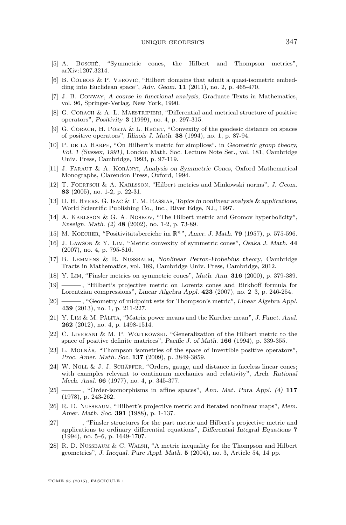- <span id="page-33-0"></span>[5] A. Bosché, "Symmetric cones, the Hilbert and Thompson metrics", arXiv:1207.3214.
- [6] B. COLBOIS & P. VEROVIC, "Hilbert domains that admit a quasi-isometric embedding into Euclidean space", Adv. Geom. **11** (2011), no. 2, p. 465-470.
- [7] J. B. Conway, A course in functional analysis, Graduate Texts in Mathematics, vol. 96, Springer-Verlag, New York, 1990.
- [8] G. CORACH & A. L. MAESTRIPIERI, "Differential and metrical structure of positive operators", Positivity **3** (1999), no. 4, p. 297-315.
- [9] G. CORACH, H. PORTA  $&$  L. RECHT, "Convexity of the geodesic distance on spaces of positive operators", Illinois J. Math. **38** (1994), no. 1, p. 87-94.
- [10] P. DE LA HARPE, "On Hilbert's metric for simplices", in Geometric group theory, Vol. 1 (Sussex, 1991), London Math. Soc. Lecture Note Ser., vol. 181, Cambridge Univ. Press, Cambridge, 1993, p. 97-119.
- [11] J. Faraut & A. Korányi, Analysis on Symmetric Cones, Oxford Mathematical Monographs, Clarendon Press, Oxford, 1994.
- [12] T. Foertsch & A. Karlsson, "Hilbert metrics and Minkowski norms", J. Geom. **83** (2005), no. 1-2, p. 22-31.
- [13] D. H. Hyers, G. Isac & T. M. Rassias, Topics in nonlinear analysis & applications, World Scientific Publishing Co., Inc., River Edge, NJ,, 1997.
- [14] A. KARLSSON & G. A. NOSKOV, "The Hilbert metric and Gromov hyperbolicity", Enseign. Math. (2) **48** (2002), no. 1-2, p. 73-89.
- [15] M. Koecher, "Positivitätsbereiche im R*n*", Amer. J. Math. **79** (1957), p. 575-596.
- [16] J. Lawson & Y. Lim, "Metric convexity of symmetric cones", Osaka J. Math. **44** (2007), no. 4, p. 795-816.
- [17] B. Lemmens & R. Nussbaum, Nonlinear Perron-Frobebius theory, Cambridge Tracts in Mathematics, vol. 189, Cambridge Univ. Press, Cambridge, 2012.
- [18] Y. Lim, "Finsler metrics on symmetric cones", Math. Ann. **316** (2000), p. 379-389.
- [19] ——— , "Hilbert's projective metric on Lorentz cones and Birkhoff formula for Lorentzian compressions", Linear Algebra Appl. **423** (2007), no. 2–3, p. 246-254.
- [20] ——— , "Geometry of midpoint sets for Thompson's metric", Linear Algebra Appl. **439** (2013), no. 1, p. 211-227.
- [21] Y. Lim & M. Pálfia, "Matrix power means and the Karcher mean", J. Funct. Anal. **262** (2012), no. 4, p. 1498-1514.
- [22] C. Liverani & M. P. Wojtkowski, "Generalization of the Hilbert metric to the space of positive definite matrices", Pacific J. of Math. **166** (1994), p. 339-355.
- [23] L. MOLNÁR, "Thompson isometries of the space of invertible positive operators", Proc. Amer. Math. Soc. **137** (2009), p. 3849-3859.
- [24] W. NOLL & J. J. SCHÄFFER, "Orders, gauge, and distance in faceless linear cones; with examples relevant to continuum mechanics and relativity", Arch. Rational Mech. Anal. **66** (1977), no. 4, p. 345-377.
- [25] ——— , "Order-isomorphisms in affine spaces", Ann. Mat. Pura Appl. (4) **117** (1978), p. 243-262.
- [26] R. D. NUSSBAUM, "Hilbert's projective metric and iterated nonlinear maps", Mem. Amer. Math. Soc. **391** (1988), p. 1-137.
- [27] ——— , "Finsler structures for the part metric and Hilbert's projective metric and applications to ordinary differential equations", Differential Integral Equations **7** (1994), no. 5–6, p. 1649-1707.
- [28] R. D. Nussbaum & C. Walsh, "A metric inequality for the Thompson and Hilbert geometries", J. Inequal. Pure Appl. Math. **5** (2004), no. 3, Article 54, 14 pp.